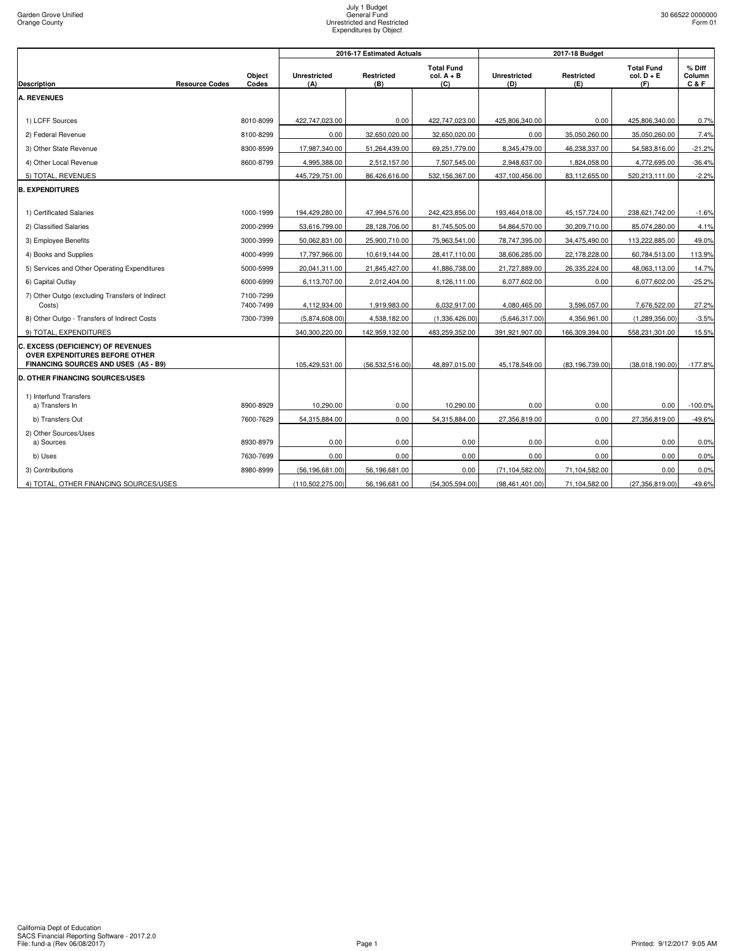|                                                                                                                     |                       |                        |                            | 2016-17 Estimated Actuals |                                          |                            |                   |                                          |                             |
|---------------------------------------------------------------------------------------------------------------------|-----------------------|------------------------|----------------------------|---------------------------|------------------------------------------|----------------------------|-------------------|------------------------------------------|-----------------------------|
| <b>Description</b>                                                                                                  | <b>Resource Codes</b> | Object<br>Codes        | <b>Unrestricted</b><br>(A) | <b>Restricted</b><br>(B)  | <b>Total Fund</b><br>$col. A + B$<br>(C) | <b>Unrestricted</b><br>(D) | Restricted<br>(E) | <b>Total Fund</b><br>$col. D + E$<br>(F) | $%$ Diff<br>Column<br>C & F |
| <b>A. REVENUES</b>                                                                                                  |                       |                        |                            |                           |                                          |                            |                   |                                          |                             |
|                                                                                                                     |                       |                        |                            |                           |                                          |                            |                   |                                          |                             |
| 1) LCFF Sources                                                                                                     |                       | 8010-8099              | 422,747,023.00             | 0.00                      | 422,747,023.00                           | 425,806,340.00             | 0.00              | 425,806,340.00                           | 0.7%                        |
| 2) Federal Revenue                                                                                                  |                       | 8100-8299              | 0.00                       | 32,650,020.00             | 32,650,020.00                            | 0.00                       | 35,050,260.00     | 35,050,260.00                            | 7.4%                        |
| 3) Other State Revenue                                                                                              |                       | 8300-8599              | 17,987,340.00              | 51,264,439.00             | 69,251,779.00                            | 8,345,479.00               | 46,238,337.00     | 54,583,816.00                            | $-21.2%$                    |
| 4) Other Local Revenue                                                                                              |                       | 8600-8799              | 4,995,388.00               | 2,512,157.00              | 7,507,545.00                             | 2,948,637.00               | 1,824,058.00      | 4,772,695.00                             | $-36.4%$                    |
| 5) TOTAL, REVENUES                                                                                                  |                       |                        | 445,729,751.00             | 86,426,616.00             | 532,156,367.00                           | 437,100,456.00             | 83,112,655.00     | 520,213,111.00                           | $-2.2%$                     |
| <b>B. EXPENDITURES</b>                                                                                              |                       |                        |                            |                           |                                          |                            |                   |                                          |                             |
|                                                                                                                     |                       |                        |                            |                           |                                          |                            |                   |                                          |                             |
| 1) Certificated Salaries                                                                                            |                       | 1000-1999              | 194,429,280.00             | 47,994,576.00             | 242,423,856.00                           | 193,464,018.00             | 45, 157, 724.00   | 238,621,742.00                           | $-1.6%$                     |
| 2) Classified Salaries                                                                                              |                       | 2000-2999              | 53,616,799.00              | 28,128,706.00             | 81,745,505.00                            | 54,864,570.00              | 30,209,710.00     | 85,074,280.00                            | 4.1%                        |
| 3) Employee Benefits                                                                                                |                       | 3000-3999              | 50,062,831.00              | 25,900,710.00             | 75,963,541.00                            | 78,747,395.00              | 34,475,490.00     | 113,222,885.00                           | 49.0%                       |
| 4) Books and Supplies                                                                                               |                       | 4000-4999              | 17,797,966.00              | 10,619,144.00             | 28,417,110.00                            | 38,606,285.00              | 22,178,228.00     | 60,784,513.00                            | 113.9%                      |
| 5) Services and Other Operating Expenditures                                                                        |                       | 5000-5999              | 20,041,311.00              | 21,845,427.00             | 41,886,738.00                            | 21,727,889.00              | 26,335,224.00     | 48,063,113.00                            | 14.7%                       |
| 6) Capital Outlay                                                                                                   |                       | 6000-6999              | 6,113,707.00               | 2,012,404.00              | 8,126,111.00                             | 6,077,602.00               | 0.00              | 6,077,602.00                             | $-25.2%$                    |
| 7) Other Outgo (excluding Transfers of Indirect<br>Costs)                                                           |                       | 7100-7299<br>7400-7499 | 4,112,934.00               | 1,919,983.00              | 6,032,917.00                             | 4,080,465.00               | 3,596,057.00      | 7,676,522.00                             | 27.2%                       |
| 8) Other Outgo - Transfers of Indirect Costs                                                                        |                       | 7300-7399              | (5,874,608.00)             | 4,538,182.00              | (1,336,426.00)                           | (5,646,317.00)             | 4,356,961.00      | (1,289,356.00)                           | $-3.5%$                     |
| 9) TOTAL, EXPENDITURES                                                                                              |                       |                        | 340,300,220.00             | 142,959,132.00            | 483,259,352.00                           | 391,921,907.00             | 166,309,394.00    | 558,231,301.00                           | 15.5%                       |
| C. EXCESS (DEFICIENCY) OF REVENUES<br><b>OVER EXPENDITURES BEFORE OTHER</b><br>FINANCING SOURCES AND USES (A5 - B9) |                       |                        | 105,429,531.00             | (56, 532, 516.00)         | 48,897,015.00                            | 45,178,549.00              | (83, 196, 739.00) | (38,018,190.00)                          | $-177.8%$                   |
| <b>D. OTHER FINANCING SOURCES/USES</b>                                                                              |                       |                        |                            |                           |                                          |                            |                   |                                          |                             |
| 1) Interfund Transfers                                                                                              |                       |                        |                            |                           |                                          |                            |                   |                                          |                             |
| a) Transfers In                                                                                                     |                       | 8900-8929              | 10,290.00                  | 0.00                      | 10,290.00                                | 0.00                       | 0.00              | 0.00                                     | $-100.0%$                   |
| b) Transfers Out                                                                                                    |                       | 7600-7629              | 54,315,884.00              | 0.00                      | 54,315,884.00                            | 27,356,819.00              | 0.00              | 27,356,819.00                            | $-49.6%$                    |
| 2) Other Sources/Uses<br>a) Sources                                                                                 |                       | 8930-8979              | 0.00                       | 0.00                      | 0.00                                     | 0.00                       | 0.00              | 0.00                                     | 0.0%                        |
| b) Uses                                                                                                             |                       | 7630-7699              | 0.00                       | 0.00                      | 0.00                                     | 0.00                       | 0.00              | 0.00                                     | 0.0%                        |
| 3) Contributions                                                                                                    |                       | 8980-8999              | (56, 196, 681.00)          | 56,196,681.00             | 0.00                                     | (71, 104, 582.00)          | 71,104,582.00     | 0.00                                     | 0.0%                        |
| 4) TOTAL, OTHER FINANCING SOURCES/USES                                                                              |                       |                        | (110, 502, 275.00)         | 56,196,681.00             | (54, 305, 594.00)                        | (98, 461, 401.00)          | 71,104,582.00     | (27, 356, 819.00)                        | $-49.6%$                    |
|                                                                                                                     |                       |                        |                            |                           |                                          |                            |                   |                                          |                             |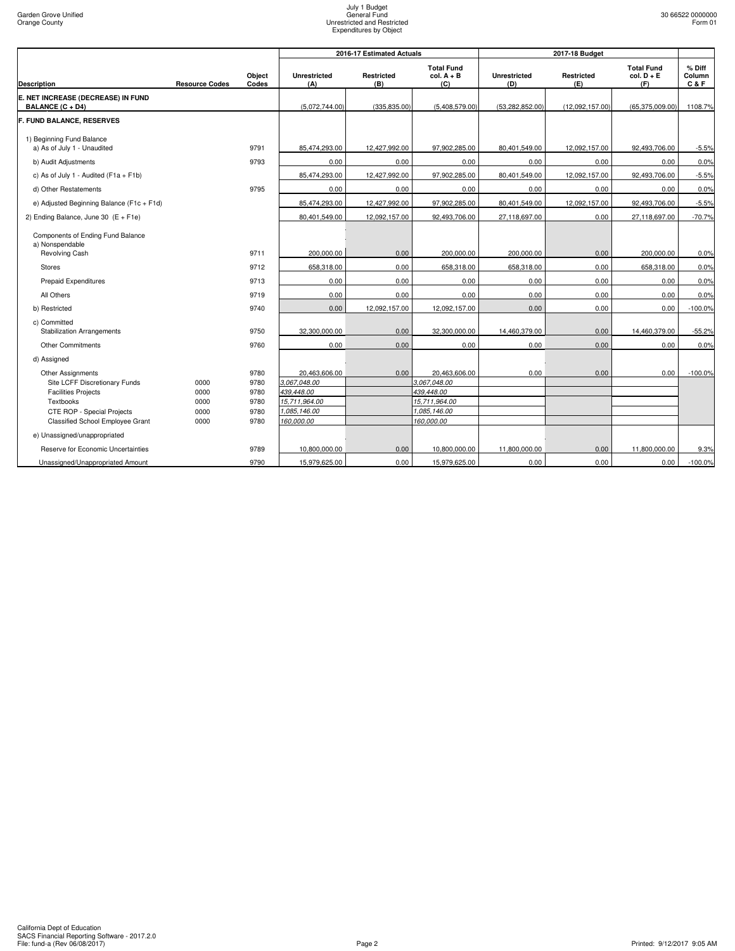|                                                                                         |                       |                      |                                             | 2016-17 Estimated Actuals |                                             |                            | 2017-18 Budget           |                                          |                           |  |
|-----------------------------------------------------------------------------------------|-----------------------|----------------------|---------------------------------------------|---------------------------|---------------------------------------------|----------------------------|--------------------------|------------------------------------------|---------------------------|--|
| <b>Description</b>                                                                      | <b>Resource Codes</b> | Object<br>Codes      | <b>Unrestricted</b><br>(A)                  | Restricted<br>(B)         | <b>Total Fund</b><br>$col. A + B$<br>(C)    | <b>Unrestricted</b><br>(D) | <b>Restricted</b><br>(E) | <b>Total Fund</b><br>$col. D + E$<br>(F) | % Diff<br>Column<br>C & F |  |
| E. NET INCREASE (DECREASE) IN FUND<br>BALANCE (C + D4)                                  |                       |                      | (5,072,744.00)                              | (335, 835.00)             | (5,408,579.00)                              | (53, 282, 852.00)          | (12,092,157.00)          | (65, 375, 009.00)                        | 1108.7%                   |  |
| F. FUND BALANCE, RESERVES                                                               |                       |                      |                                             |                           |                                             |                            |                          |                                          |                           |  |
| 1) Beginning Fund Balance<br>a) As of July 1 - Unaudited                                |                       | 9791                 | 85,474,293.00                               | 12,427,992.00             | 97,902,285.00                               | 80,401,549.00              | 12,092,157.00            | 92,493,706.00                            | $-5.5%$                   |  |
| b) Audit Adjustments                                                                    |                       | 9793                 | 0.00                                        | 0.00                      | 0.00                                        | 0.00                       | 0.00                     | 0.00                                     | 0.0%                      |  |
| c) As of July 1 - Audited ( $F1a + F1b$ )                                               |                       |                      | 85,474,293.00                               | 12,427,992.00             | 97,902,285.00                               | 80,401,549.00              | 12,092,157.00            | 92,493,706.00                            | $-5.5%$                   |  |
| d) Other Restatements                                                                   |                       | 9795                 | 0.00                                        | 0.00                      | 0.00                                        | 0.00                       | 0.00                     | 0.00                                     | 0.0%                      |  |
| e) Adjusted Beginning Balance (F1c + F1d)                                               |                       |                      | 85,474,293.00                               | 12,427,992.00             | 97,902,285.00                               | 80,401,549.00              | 12,092,157.00            | 92,493,706.00                            | $-5.5%$                   |  |
| 2) Ending Balance, June 30 $(E + F1e)$                                                  |                       |                      | 80,401,549.00                               | 12,092,157.00             | 92,493,706.00                               | 27,118,697.00              | 0.00                     | 27,118,697.00                            | $-70.7%$                  |  |
| Components of Ending Fund Balance<br>a) Nonspendable                                    |                       |                      |                                             |                           |                                             |                            |                          |                                          |                           |  |
| Revolving Cash                                                                          |                       | 9711                 | 200,000.00                                  | 0.00                      | 200,000.00                                  | 200,000.00                 | 0.00                     | 200,000.00                               | 0.0%                      |  |
| <b>Stores</b>                                                                           |                       | 9712                 | 658,318.00                                  | 0.00                      | 658,318.00                                  | 658,318.00                 | 0.00                     | 658,318.00                               | 0.0%                      |  |
| Prepaid Expenditures                                                                    |                       | 9713                 | 0.00                                        | 0.00                      | 0.00                                        | 0.00                       | 0.00                     | 0.00                                     | 0.0%                      |  |
| All Others                                                                              |                       | 9719                 | 0.00                                        | 0.00                      | 0.00                                        | 0.00                       | 0.00                     | 0.00                                     | 0.0%                      |  |
| b) Restricted                                                                           |                       | 9740                 | 0.00                                        | 12,092,157.00             | 12,092,157.00                               | 0.00                       | 0.00                     | 0.00                                     | $-100.0%$                 |  |
| c) Committed<br><b>Stabilization Arrangements</b>                                       |                       | 9750                 | 32,300,000.00                               | 0.00                      | 32,300,000.00                               | 14,460,379.00              | 0.00                     | 14,460,379.00                            | $-55.2%$                  |  |
| <b>Other Commitments</b>                                                                |                       | 9760                 | 0.00                                        | 0.00                      | 0.00                                        | 0.00                       | 0.00                     | 0.00                                     | 0.0%                      |  |
| d) Assigned                                                                             |                       |                      |                                             |                           |                                             |                            |                          |                                          |                           |  |
| <b>Other Assignments</b><br>Site LCFF Discretionary Funds<br><b>Facilities Projects</b> | 0000<br>0000          | 9780<br>9780<br>9780 | 20,463,606.00<br>3,067,048.00<br>439,448.00 | 0.00                      | 20,463,606.00<br>3,067,048.00<br>439.448.00 | 0.00                       | 0.00                     | 0.00                                     | $-100.0%$                 |  |
| Textbooks                                                                               | 0000                  | 9780                 | 15,711,964.00                               |                           | 15,711,964.00                               |                            |                          |                                          |                           |  |
| <b>CTE ROP - Special Projects</b>                                                       | 0000                  | 9780                 | 085,146.00                                  |                           | 1,085,146.00                                |                            |                          |                                          |                           |  |
| Classified School Employee Grant<br>e) Unassigned/unappropriated                        | 0000                  | 9780                 | 160,000.00                                  |                           | 160.000.00                                  |                            |                          |                                          |                           |  |
|                                                                                         |                       |                      |                                             |                           |                                             |                            |                          |                                          |                           |  |
| Reserve for Economic Uncertainties                                                      |                       | 9789                 | 10,800,000.00                               | 0.00                      | 10,800,000.00                               | 11,800,000.00              | 0.00                     | 11,800,000.00                            | 9.3%                      |  |
| Unassigned/Unappropriated Amount                                                        |                       | 9790                 | 15,979,625.00                               | 0.00                      | 15,979,625.00                               | 0.00                       | 0.00                     | 0.00                                     | $-100.0%$                 |  |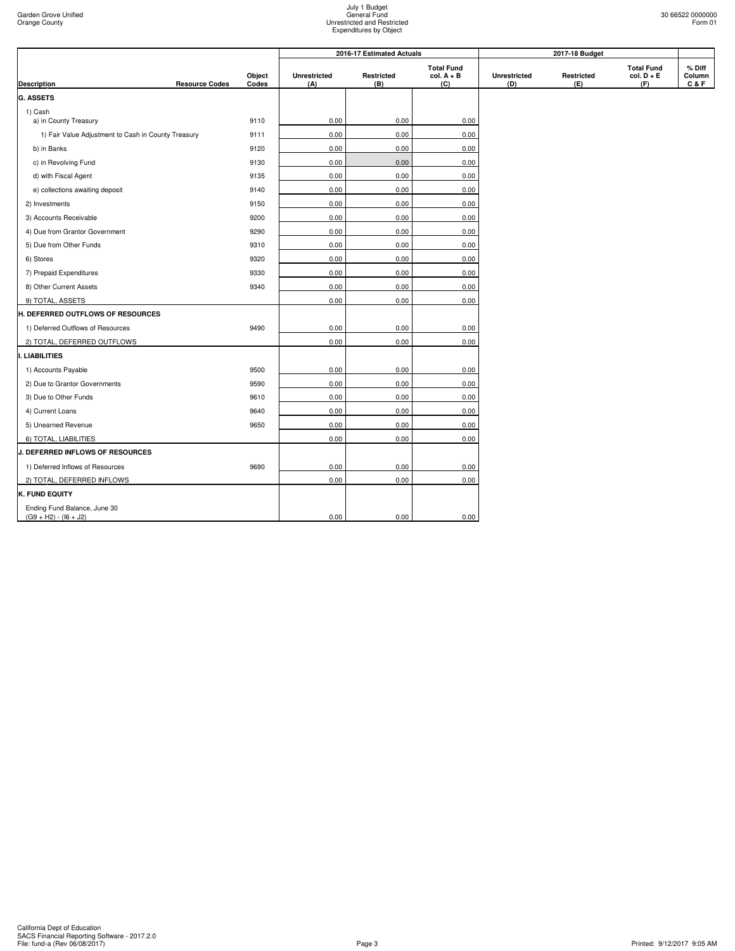|                                                         |                       |                 |                            | 2016-17 Estimated Actuals |                                          |                            | 2017-18 Budget    |                                          |                         |
|---------------------------------------------------------|-----------------------|-----------------|----------------------------|---------------------------|------------------------------------------|----------------------------|-------------------|------------------------------------------|-------------------------|
| Description                                             | <b>Resource Codes</b> | Object<br>Codes | <b>Unrestricted</b><br>(A) | Restricted<br>(B)         | <b>Total Fund</b><br>$col. A + B$<br>(C) | <b>Unrestricted</b><br>(D) | Restricted<br>(E) | <b>Total Fund</b><br>$col. D + E$<br>(F) | % Diff<br>Column<br>C&F |
| <b>G. ASSETS</b>                                        |                       |                 |                            |                           |                                          |                            |                   |                                          |                         |
| 1) Cash                                                 |                       |                 |                            |                           |                                          |                            |                   |                                          |                         |
| a) in County Treasury                                   |                       | 9110            | 0.00                       | 0.00                      | 0.00                                     |                            |                   |                                          |                         |
| 1) Fair Value Adjustment to Cash in County Treasury     |                       | 9111            | 0.00                       | 0.00                      | 0.00                                     |                            |                   |                                          |                         |
| b) in Banks                                             |                       | 9120            | 0.00                       | 0.00                      | 0.00                                     |                            |                   |                                          |                         |
| c) in Revolving Fund                                    |                       | 9130            | 0.00                       | 0.00                      | 0.00                                     |                            |                   |                                          |                         |
| d) with Fiscal Agent                                    |                       | 9135            | 0.00                       | 0.00                      | 0.00                                     |                            |                   |                                          |                         |
| e) collections awaiting deposit                         |                       | 9140            | 0.00                       | 0.00                      | 0.00                                     |                            |                   |                                          |                         |
| 2) Investments                                          |                       | 9150            | 0.00                       | 0.00                      | 0.00                                     |                            |                   |                                          |                         |
| 3) Accounts Receivable                                  |                       | 9200            | 0.00                       | 0.00                      | 0.00                                     |                            |                   |                                          |                         |
| 4) Due from Grantor Government                          |                       | 9290            | 0.00                       | 0.00                      | 0.00                                     |                            |                   |                                          |                         |
| 5) Due from Other Funds                                 |                       | 9310            | 0.00                       | 0.00                      | 0.00                                     |                            |                   |                                          |                         |
| 6) Stores                                               |                       | 9320            | 0.00                       | 0.00                      | 0.00                                     |                            |                   |                                          |                         |
| 7) Prepaid Expenditures                                 |                       | 9330            | 0.00                       | 0.00                      | 0.00                                     |                            |                   |                                          |                         |
| 8) Other Current Assets                                 |                       | 9340            | 0.00                       | 0.00                      | 0.00                                     |                            |                   |                                          |                         |
| 9) TOTAL, ASSETS                                        |                       |                 | 0.00                       | 0.00                      | 0.00                                     |                            |                   |                                          |                         |
| <b>H. DEFERRED OUTFLOWS OF RESOURCES</b>                |                       |                 |                            |                           |                                          |                            |                   |                                          |                         |
| 1) Deferred Outflows of Resources                       |                       | 9490            | 0.00                       | 0.00                      | 0.00                                     |                            |                   |                                          |                         |
| 2) TOTAL, DEFERRED OUTFLOWS                             |                       |                 | 0.00                       | 0.00                      | 0.00                                     |                            |                   |                                          |                         |
| <b>LIABILITIES</b>                                      |                       |                 |                            |                           |                                          |                            |                   |                                          |                         |
| 1) Accounts Payable                                     |                       | 9500            | 0.00                       | 0.00                      | 0.00                                     |                            |                   |                                          |                         |
| 2) Due to Grantor Governments                           |                       | 9590            | 0.00                       | 0.00                      | 0.00                                     |                            |                   |                                          |                         |
| 3) Due to Other Funds                                   |                       | 9610            | 0.00                       | 0.00                      | 0.00                                     |                            |                   |                                          |                         |
| 4) Current Loans                                        |                       | 9640            | 0.00                       | 0.00                      | 0.00                                     |                            |                   |                                          |                         |
| 5) Unearned Revenue                                     |                       | 9650            | 0.00                       | 0.00                      | 0.00                                     |                            |                   |                                          |                         |
| 6) TOTAL, LIABILITIES                                   |                       |                 | 0.00                       | 0.00                      | 0.00                                     |                            |                   |                                          |                         |
| <b>J. DEFERRED INFLOWS OF RESOURCES</b>                 |                       |                 |                            |                           |                                          |                            |                   |                                          |                         |
| 1) Deferred Inflows of Resources                        |                       | 9690            | 0.00                       | 0.00                      | 0.00                                     |                            |                   |                                          |                         |
| 2) TOTAL, DEFERRED INFLOWS                              |                       |                 | 0.00                       | 0.00                      | 0.00                                     |                            |                   |                                          |                         |
| K. FUND EQUITY                                          |                       |                 |                            |                           |                                          |                            |                   |                                          |                         |
| Ending Fund Balance, June 30<br>$(G9 + H2) - (16 + J2)$ |                       |                 | 0.00                       | 0.00                      | 0.00                                     |                            |                   |                                          |                         |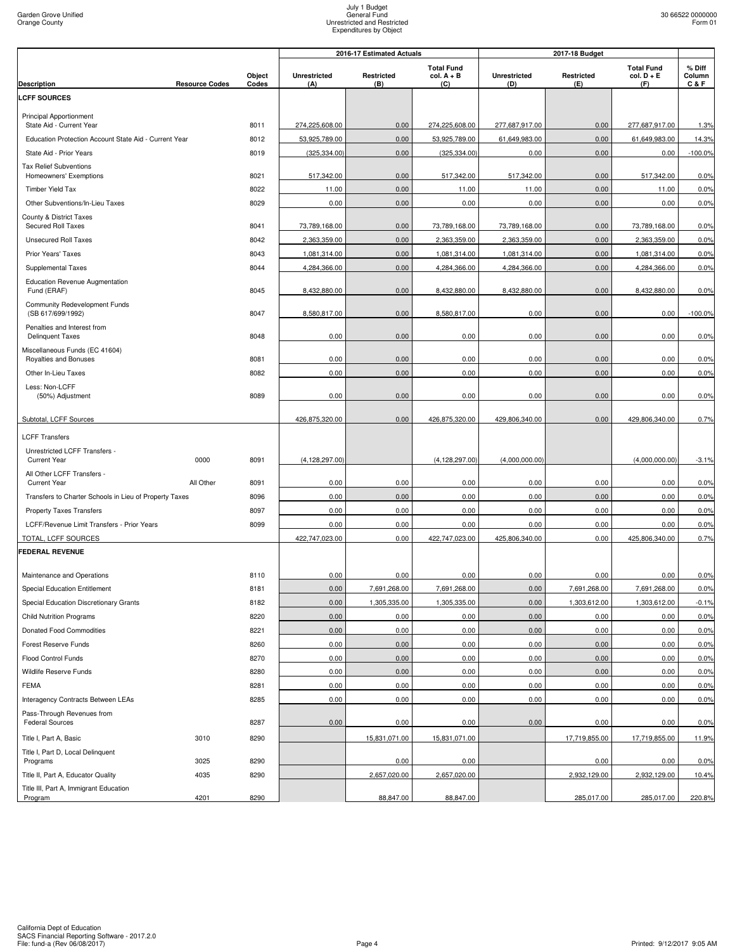|                                                        |                       |                 | 2016-17 Estimated Actuals  |                   |                                          | 2017-18 Budget      |                          |                                          |                           |
|--------------------------------------------------------|-----------------------|-----------------|----------------------------|-------------------|------------------------------------------|---------------------|--------------------------|------------------------------------------|---------------------------|
| Description                                            | <b>Resource Codes</b> | Object<br>Codes | <b>Unrestricted</b><br>(A) | Restricted<br>(B) | <b>Total Fund</b><br>$col. A + B$<br>(C) | Unrestricted<br>(D) | <b>Restricted</b><br>(E) | <b>Total Fund</b><br>$col. D + E$<br>(F) | % Diff<br>Column<br>C & F |
| <b>LCFF SOURCES</b>                                    |                       |                 |                            |                   |                                          |                     |                          |                                          |                           |
| <b>Principal Apportionment</b>                         |                       |                 |                            |                   |                                          |                     |                          |                                          |                           |
| State Aid - Current Year                               |                       | 8011            | 274,225,608.00             | 0.00              | 274,225,608.00                           | 277,687,917.00      | 0.00                     | 277,687,917.00                           | 1.3%                      |
| Education Protection Account State Aid - Current Year  |                       | 8012            | 53,925,789.00              | 0.00              | 53,925,789.00                            | 61,649,983.00       | 0.00                     | 61,649,983.00                            | 14.3%                     |
| State Aid - Prior Years                                |                       | 8019            | (325, 334.00)              | 0.00              | (325, 334.00)                            | 0.00                | 0.00                     | 0.00                                     | $-100.0%$                 |
| <b>Tax Relief Subventions</b>                          |                       |                 |                            |                   |                                          |                     |                          |                                          |                           |
| Homeowners' Exemptions                                 |                       | 8021            | 517,342.00                 | 0.00              | 517,342.00                               | 517,342.00          | 0.00                     | 517,342.00                               | 0.0%                      |
| Timber Yield Tax                                       |                       | 8022            | 11.00                      | 0.00              | 11.00                                    | 11.00               | 0.00                     | 11.00                                    | 0.0%                      |
| Other Subventions/In-Lieu Taxes                        |                       | 8029            | 0.00                       | 0.00              | 0.00                                     | 0.00                | 0.00                     | 0.00                                     | 0.0%                      |
| County & District Taxes<br>Secured Roll Taxes          |                       | 8041            | 73,789,168.00              | 0.00              | 73,789,168.00                            | 73,789,168.00       | 0.00                     | 73,789,168.00                            | 0.0%                      |
| <b>Unsecured Roll Taxes</b>                            |                       | 8042            | 2,363,359.00               | 0.00              | 2,363,359.00                             | 2,363,359.00        | 0.00                     | 2,363,359.00                             | 0.0%                      |
| Prior Years' Taxes                                     |                       | 8043            | 1,081,314.00               | 0.00              | 1,081,314.00                             | 1,081,314.00        | 0.00                     | 1,081,314.00                             | 0.0%                      |
| Supplemental Taxes                                     |                       | 8044            | 4,284,366.00               | 0.00              | 4,284,366.00                             | 4,284,366.00        | 0.00                     | 4,284,366.00                             | 0.0%                      |
| <b>Education Revenue Augmentation</b><br>Fund (ERAF)   |                       | 8045            | 8,432,880.00               | 0.00              | 8,432,880.00                             | 8,432,880.00        | 0.00                     | 8,432,880.00                             | 0.0%                      |
| Community Redevelopment Funds                          |                       |                 |                            |                   |                                          |                     |                          |                                          |                           |
| (SB 617/699/1992)                                      |                       | 8047            | 8,580,817.00               | 0.00              | 8,580,817.00                             | 0.00                | 0.00                     | 0.00                                     | $-100.0%$                 |
| Penalties and Interest from<br><b>Delinquent Taxes</b> |                       | 8048            | 0.00                       | 0.00              | 0.00                                     | 0.00                | 0.00                     | 0.00                                     | 0.0%                      |
| Miscellaneous Funds (EC 41604)                         |                       |                 |                            |                   | 0.00                                     |                     |                          |                                          |                           |
| Royalties and Bonuses<br>Other In-Lieu Taxes           |                       | 8081<br>8082    | 0.00<br>0.00               | 0.00<br>0.00      | 0.00                                     | 0.00<br>0.00        | 0.00<br>0.00             | 0.00<br>0.00                             | 0.0%<br>0.0%              |
| Less: Non-LCFF                                         |                       |                 |                            |                   |                                          |                     |                          |                                          |                           |
| (50%) Adjustment                                       |                       | 8089            | 0.00                       | 0.00              | 0.00                                     | 0.00                | 0.00                     | 0.00                                     | 0.0%                      |
| Subtotal, LCFF Sources                                 |                       |                 | 426,875,320.00             | 0.00              | 426,875,320.00                           | 429,806,340.00      | 0.00                     | 429,806,340.00                           | 0.7%                      |
| <b>LCFF Transfers</b>                                  |                       |                 |                            |                   |                                          |                     |                          |                                          |                           |
| Unrestricted LCFF Transfers -                          |                       |                 |                            |                   |                                          |                     |                          |                                          |                           |
| <b>Current Year</b>                                    | 0000                  | 8091            | (4, 128, 297.00)           |                   | (4, 128, 297.00)                         | (4,000,000.00)      |                          | (4,000,000.00)                           | $-3.1%$                   |
| All Other LCFF Transfers -<br><b>Current Year</b>      | All Other             | 8091            | 0.00                       | 0.00              | 0.00                                     | 0.00                | 0.00                     | 0.00                                     | 0.0%                      |
| Transfers to Charter Schools in Lieu of Property Taxes |                       | 8096            | 0.00                       | 0.00              | 0.00                                     | 0.00                | 0.00                     | 0.00                                     | 0.0%                      |
| <b>Property Taxes Transfers</b>                        |                       | 8097            | 0.00                       | 0.00              | 0.00                                     | 0.00                | 0.00                     | 0.00                                     | 0.0%                      |
| LCFF/Revenue Limit Transfers - Prior Years             |                       | 8099            | 0.00                       | 0.00              | 0.00                                     | 0.00                | 0.00                     | 0.00                                     | 0.0%                      |
| TOTAL, LCFF SOURCES                                    |                       |                 | 422,747,023.00             | 0.00              | 422,747,023.00                           | 425,806,340.00      | 0.00                     | 425,806,340.00                           | 0.7%                      |
| <b>FEDERAL REVENUE</b>                                 |                       |                 |                            |                   |                                          |                     |                          |                                          |                           |
|                                                        |                       |                 |                            |                   |                                          |                     |                          |                                          |                           |
| Maintenance and Operations                             |                       | 8110            | 0.00                       | 0.00              | 0.00                                     | 0.00                | 0.00                     | 0.00                                     | 0.0%                      |
| Special Education Entitlement                          |                       | 8181            | 0.00                       | 7,691,268.00      | 7,691,268.00                             | 0.00                | 7,691,268.00             | 7,691,268.00                             | 0.0%                      |
| Special Education Discretionary Grants                 |                       | 8182            | 0.00                       | 1,305,335.00      | 1,305,335.00                             | 0.00                | 1,303,612.00             | 1,303,612.00                             | $-0.1%$                   |
| <b>Child Nutrition Programs</b>                        |                       | 8220            | 0.00                       | 0.00              | 0.00                                     | 0.00                | 0.00                     | 0.00                                     | 0.0%                      |
| Donated Food Commodities                               |                       | 8221            | 0.00                       | 0.00              | 0.00                                     | 0.00                | 0.00                     | 0.00                                     | 0.0%                      |
| Forest Reserve Funds                                   |                       | 8260            | 0.00                       | 0.00              | 0.00                                     | 0.00                | 0.00                     | 0.00                                     | 0.0%                      |
| Flood Control Funds                                    |                       | 8270            | 0.00                       | 0.00              | 0.00                                     | 0.00                | 0.00                     | 0.00                                     | 0.0%                      |
| Wildlife Reserve Funds                                 |                       | 8280            | 0.00                       | 0.00              | 0.00                                     | 0.00                | 0.00                     | 0.00                                     | 0.0%                      |
| <b>FEMA</b>                                            |                       | 8281            | 0.00                       | 0.00              | 0.00                                     | 0.00                | 0.00                     | 0.00                                     | 0.0%                      |
| Interagency Contracts Between LEAs                     |                       | 8285            | 0.00                       | 0.00              | 0.00                                     | 0.00                | 0.00                     | 0.00                                     | 0.0%                      |
| Pass-Through Revenues from<br><b>Federal Sources</b>   |                       | 8287            | 0.00                       | 0.00              | 0.00                                     | 0.00                | 0.00                     | 0.00                                     | 0.0%                      |
| Title I, Part A, Basic                                 | 3010                  | 8290            |                            | 15,831,071.00     | 15,831,071.00                            |                     | 17,719,855.00            | 17,719,855.00                            | 11.9%                     |
| Title I, Part D, Local Delinquent                      |                       |                 |                            |                   |                                          |                     |                          |                                          |                           |
| Programs                                               | 3025                  | 8290            |                            | 0.00              | 0.00                                     |                     | 0.00                     | 0.00                                     | 0.0%                      |
| Title II, Part A, Educator Quality                     | 4035                  | 8290            |                            | 2,657,020.00      | 2,657,020.00                             |                     | 2,932,129.00             | 2,932,129.00                             | 10.4%                     |
| Title III, Part A, Immigrant Education<br>Program      | 4201                  | 8290            |                            | 88,847.00         | 88,847.00                                |                     | 285,017.00               | 285,017.00                               | 220.8%                    |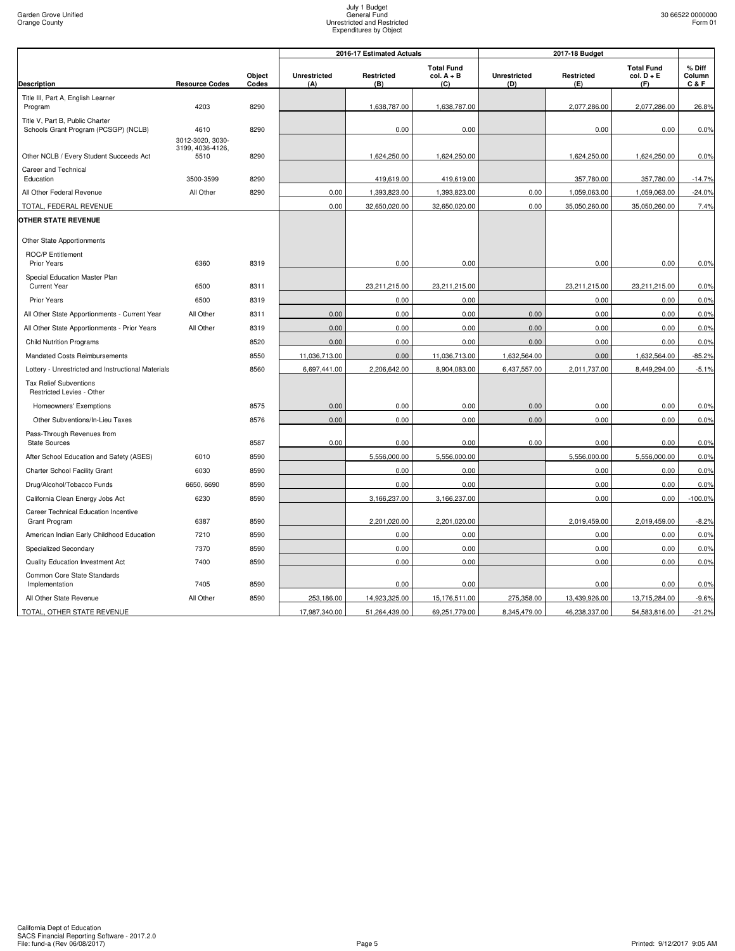|                                                                         |                          |                 |                            | 2016-17 Estimated Actuals |                                          |                     | 2017-18 Budget    |                                          |                         |
|-------------------------------------------------------------------------|--------------------------|-----------------|----------------------------|---------------------------|------------------------------------------|---------------------|-------------------|------------------------------------------|-------------------------|
| <b>Description</b>                                                      | <b>Resource Codes</b>    | Object<br>Codes | <b>Unrestricted</b><br>(A) | Restricted<br>(B)         | <b>Total Fund</b><br>$col. A + B$<br>(C) | Unrestricted<br>(D) | Restricted<br>(E) | <b>Total Fund</b><br>$col. D + E$<br>(F) | % Diff<br>Column<br>C&F |
| Title III, Part A, English Learner                                      |                          |                 |                            |                           |                                          |                     |                   |                                          |                         |
| Program                                                                 | 4203                     | 8290            |                            | 1,638,787.00              | 1,638,787.00                             |                     | 2,077,286.00      | 2,077,286.00                             | 26.8%                   |
| Title V, Part B, Public Charter<br>Schools Grant Program (PCSGP) (NCLB) | 4610                     | 8290            |                            | 0.00                      | 0.00                                     |                     | 0.00              | 0.00                                     | 0.0%                    |
|                                                                         | 3012-3020, 3030-         |                 |                            |                           |                                          |                     |                   |                                          |                         |
| Other NCLB / Every Student Succeeds Act                                 | 3199, 4036-4126,<br>5510 | 8290            |                            | 1,624,250.00              | 1,624,250.00                             |                     | 1,624,250.00      | 1,624,250.00                             | 0.0%                    |
| Career and Technical                                                    |                          |                 |                            |                           |                                          |                     |                   |                                          |                         |
| Education                                                               | 3500-3599                | 8290            |                            | 419,619.00                | 419,619.00                               |                     | 357,780.00        | 357,780.00                               | $-14.7%$                |
| All Other Federal Revenue                                               | All Other                | 8290            | 0.00                       | 1,393,823.00              | 1,393,823.00                             | 0.00                | 1,059,063.00      | 1,059,063.00                             | $-24.0%$                |
| TOTAL, FEDERAL REVENUE                                                  |                          |                 | 0.00                       | 32,650,020.00             | 32,650,020.00                            | 0.00                | 35,050,260.00     | 35,050,260.00                            | 7.4%                    |
| <b>OTHER STATE REVENUE</b>                                              |                          |                 |                            |                           |                                          |                     |                   |                                          |                         |
| Other State Apportionments                                              |                          |                 |                            |                           |                                          |                     |                   |                                          |                         |
| <b>ROC/P Entitlement</b><br>Prior Years                                 | 6360                     | 8319            |                            | 0.00                      | 0.00                                     |                     | 0.00              | 0.00                                     | 0.0%                    |
| Special Education Master Plan                                           |                          |                 |                            |                           |                                          |                     |                   |                                          |                         |
| <b>Current Year</b>                                                     | 6500                     | 8311            |                            | 23,211,215.00             | 23,211,215.00                            |                     | 23,211,215.00     | 23,211,215.00                            | 0.0%                    |
| Prior Years                                                             | 6500                     | 8319            |                            | 0.00                      | 0.00                                     |                     | 0.00              | 0.00                                     | 0.0%                    |
| All Other State Apportionments - Current Year                           | All Other                | 8311            | 0.00                       | 0.00                      | 0.00                                     | 0.00                | 0.00              | 0.00                                     | 0.0%                    |
| All Other State Apportionments - Prior Years                            | All Other                | 8319            | 0.00                       | 0.00                      | 0.00                                     | 0.00                | 0.00              | 0.00                                     | 0.0%                    |
| <b>Child Nutrition Programs</b>                                         |                          | 8520            | 0.00                       | 0.00                      | 0.00                                     | 0.00                | 0.00              | 0.00                                     | 0.0%                    |
| Mandated Costs Reimbursements                                           |                          | 8550            | 11,036,713.00              | 0.00                      | 11,036,713.00                            | 1,632,564.00        | 0.00              | 1,632,564.00                             | $-85.2%$                |
| Lottery - Unrestricted and Instructional Materials                      |                          | 8560            | 6,697,441.00               | 2,206,642.00              | 8,904,083.00                             | 6,437,557.00        | 2,011,737.00      | 8,449,294.00                             | $-5.1%$                 |
| <b>Tax Relief Subventions</b><br>Restricted Levies - Other              |                          |                 |                            |                           |                                          |                     |                   |                                          |                         |
| Homeowners' Exemptions                                                  |                          | 8575            | 0.00                       | 0.00                      | 0.00                                     | 0.00                | 0.00              | 0.00                                     | 0.0%                    |
| Other Subventions/In-Lieu Taxes                                         |                          | 8576            | 0.00                       | 0.00                      | 0.00                                     | 0.00                | 0.00              | 0.00                                     | 0.0%                    |
| Pass-Through Revenues from<br><b>State Sources</b>                      |                          | 8587            | 0.00                       | 0.00                      | 0.00                                     | 0.00                | 0.00              | 0.00                                     | 0.0%                    |
| After School Education and Safety (ASES)                                | 6010                     | 8590            |                            | 5,556,000.00              | 5,556,000.00                             |                     | 5,556,000.00      | 5,556,000.00                             | 0.0%                    |
| Charter School Facility Grant                                           | 6030                     | 8590            |                            | 0.00                      | 0.00                                     |                     | 0.00              | 0.00                                     | 0.0%                    |
| Drug/Alcohol/Tobacco Funds                                              | 6650, 6690               | 8590            |                            | 0.00                      | 0.00                                     |                     | 0.00              | 0.00                                     | 0.0%                    |
| California Clean Energy Jobs Act                                        | 6230                     | 8590            |                            | 3,166,237.00              | 3,166,237.00                             |                     | 0.00              | 0.00                                     | $-100.0%$               |
| Career Technical Education Incentive<br><b>Grant Program</b>            | 6387                     | 8590            |                            | 2,201,020.00              | 2,201,020.00                             |                     | 2,019,459.00      | 2,019,459.00                             | $-8.2%$                 |
| American Indian Early Childhood Education                               | 7210                     | 8590            |                            | 0.00                      | 0.00                                     |                     | 0.00              | 0.00                                     | 0.0%                    |
| Specialized Secondary                                                   | 7370                     | 8590            |                            | 0.00                      | 0.00                                     |                     | 0.00              | 0.00                                     | 0.0%                    |
| Quality Education Investment Act                                        | 7400                     | 8590            |                            | 0.00                      | 0.00                                     |                     | 0.00              | 0.00                                     | 0.0%                    |
| Common Core State Standards                                             |                          |                 |                            |                           |                                          |                     |                   |                                          |                         |
| Implementation                                                          | 7405                     | 8590            |                            | 0.00                      | 0.00                                     |                     | 0.00              | 0.00                                     | 0.0%                    |
| All Other State Revenue                                                 | All Other                | 8590            | 253,186.00                 | 14,923,325.00             | 15,176,511.00                            | 275,358.00          | 13,439,926.00     | 13,715,284.00                            | $-9.6%$                 |
| TOTAL, OTHER STATE REVENUE                                              |                          |                 | 17,987,340.00              | 51,264,439.00             | 69,251,779.00                            | 8,345,479.00        | 46,238,337.00     | 54,583,816.00                            | $-21.2%$                |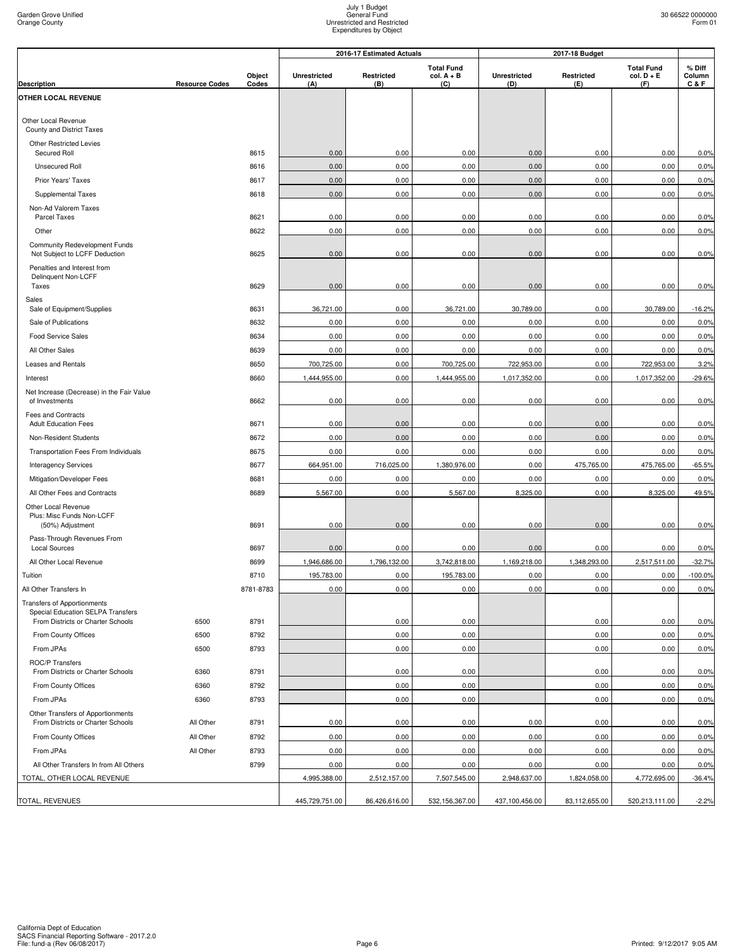|                                                                        |                       |                 |                            | 2016-17 Estimated Actuals |                                          |                     | 2017-18 Budget    |                                          |                         |  |
|------------------------------------------------------------------------|-----------------------|-----------------|----------------------------|---------------------------|------------------------------------------|---------------------|-------------------|------------------------------------------|-------------------------|--|
| <b>Description</b>                                                     | <b>Resource Codes</b> | Object<br>Codes | <b>Unrestricted</b><br>(A) | Restricted<br>(B)         | <b>Total Fund</b><br>$col. A + B$<br>(C) | Unrestricted<br>(D) | Restricted<br>(E) | <b>Total Fund</b><br>$col. D + E$<br>(F) | % Diff<br>Column<br>C&F |  |
| OTHER LOCAL REVENUE                                                    |                       |                 |                            |                           |                                          |                     |                   |                                          |                         |  |
|                                                                        |                       |                 |                            |                           |                                          |                     |                   |                                          |                         |  |
| Other Local Revenue<br>County and District Taxes                       |                       |                 |                            |                           |                                          |                     |                   |                                          |                         |  |
| <b>Other Restricted Levies</b><br>Secured Roll                         |                       | 8615            | 0.00                       | 0.00                      | 0.00                                     | 0.00                | 0.00              | 0.00                                     | 0.0%                    |  |
| <b>Unsecured Roll</b>                                                  |                       | 8616            | 0.00                       | 0.00                      | 0.00                                     | 0.00                | 0.00              | 0.00                                     | 0.0%                    |  |
| Prior Years' Taxes                                                     |                       | 8617            | 0.00                       | 0.00                      | 0.00                                     | 0.00                | 0.00              | 0.00                                     | 0.0%                    |  |
| Supplemental Taxes                                                     |                       | 8618            | 0.00                       | 0.00                      | 0.00                                     | 0.00                | 0.00              | 0.00                                     | 0.0%                    |  |
| Non-Ad Valorem Taxes<br>Parcel Taxes                                   |                       | 8621            | 0.00                       | 0.00                      | 0.00                                     | 0.00                | 0.00              | 0.00                                     | 0.0%                    |  |
| Other                                                                  |                       | 8622            | 0.00                       | 0.00                      | 0.00                                     | 0.00                | 0.00              | 0.00                                     | 0.0%                    |  |
| Community Redevelopment Funds<br>Not Subject to LCFF Deduction         |                       | 8625            | 0.00                       | 0.00                      | 0.00                                     | 0.00                | 0.00              | 0.00                                     | 0.0%                    |  |
| Penalties and Interest from<br>Delinquent Non-LCFF                     |                       |                 |                            |                           |                                          |                     |                   |                                          |                         |  |
| Taxes                                                                  |                       | 8629            | 0.00                       | 0.00                      | 0.00                                     | 0.00                | 0.00              | 0.00                                     | 0.0%                    |  |
| Sales                                                                  |                       |                 |                            |                           |                                          |                     |                   |                                          |                         |  |
| Sale of Equipment/Supplies                                             |                       | 8631            | 36,721.00                  | 0.00                      | 36,721.00                                | 30,789.00           | 0.00              | 30,789.00                                | $-16.2%$                |  |
| Sale of Publications                                                   |                       | 8632            | 0.00                       | 0.00                      | 0.00                                     | 0.00                | 0.00              | 0.00                                     | 0.0%                    |  |
| <b>Food Service Sales</b>                                              |                       | 8634            | 0.00                       | 0.00                      | 0.00                                     | 0.00                | 0.00              | 0.00                                     | 0.0%                    |  |
| All Other Sales                                                        |                       | 8639            | 0.00                       | 0.00                      | 0.00                                     | 0.00                | 0.00              | 0.00                                     | 0.0%                    |  |
| Leases and Rentals                                                     |                       | 8650            | 700,725.00                 | 0.00                      | 700,725.00                               | 722,953.00          | 0.00              | 722,953.00                               | 3.2%                    |  |
| Interest                                                               |                       | 8660            | 1,444,955.00               | 0.00                      | 1,444,955.00                             | 1,017,352.00        | 0.00              | 1,017,352.00                             | $-29.6%$                |  |
| Net Increase (Decrease) in the Fair Value<br>of Investments            |                       | 8662            | 0.00                       | 0.00                      | 0.00                                     | 0.00                | 0.00              | 0.00                                     | 0.0%                    |  |
| <b>Fees and Contracts</b><br><b>Adult Education Fees</b>               |                       | 8671            | 0.00                       | 0.00                      | 0.00                                     | 0.00                | 0.00              | 0.00                                     | 0.0%                    |  |
| Non-Resident Students                                                  |                       | 8672            | 0.00                       | 0.00                      | 0.00                                     | 0.00                | 0.00              | 0.00                                     | 0.0%                    |  |
| Transportation Fees From Individuals                                   |                       | 8675            | 0.00                       | 0.00                      | 0.00                                     | 0.00                | 0.00              | 0.00                                     | 0.0%                    |  |
| <b>Interagency Services</b>                                            |                       | 8677            | 664,951.00                 | 716,025.00                | 1,380,976.00                             | 0.00                | 475,765.00        | 475,765.00                               | $-65.5%$                |  |
| Mitigation/Developer Fees                                              |                       | 8681            | 0.00                       | 0.00                      | 0.00                                     | 0.00                | 0.00              | 0.00                                     | 0.0%                    |  |
| All Other Fees and Contracts                                           |                       | 8689            | 5,567.00                   | 0.00                      | 5,567.00                                 | 8,325.00            | 0.00              | 8,325.00                                 | 49.5%                   |  |
| Other Local Revenue<br>Plus: Misc Funds Non-LCFF<br>(50%) Adjustment   |                       | 8691            | 0.00                       | 0.00                      | 0.00                                     | 0.00                | 0.00              | 0.00                                     | 0.0%                    |  |
| Pass-Through Revenues From<br>Local Sources                            |                       | 8697            | 0.00                       | 0.00                      | 0.00                                     | 0.00                | 0.00              | 0.00                                     | 0.0%                    |  |
| All Other Local Revenue                                                |                       | 8699            | 1,946,686.00               | 1,796,132.00              | 3,742,818.00                             | 1,169,218.00        | 1,348,293.00      | 2,517,511.00                             | $-32.7%$                |  |
| Tuition                                                                |                       | 8710            | 195,783.00                 | 0.00                      | 195,783.00                               | 0.00                | 0.00              | 0.00                                     | $-100.0%$               |  |
| All Other Transfers In                                                 |                       | 8781-8783       | 0.00                       | 0.00                      | 0.00                                     | 0.00                | 0.00              | 0.00                                     | 0.0%                    |  |
| Transfers of Apportionments<br>Special Education SELPA Transfers       |                       |                 |                            |                           |                                          |                     |                   |                                          |                         |  |
| From Districts or Charter Schools                                      | 6500                  | 8791            |                            | 0.00                      | 0.00                                     |                     | 0.00              | 0.00                                     | 0.0%                    |  |
| From County Offices                                                    | 6500                  | 8792            |                            | 0.00                      | 0.00                                     |                     | 0.00              | 0.00                                     | 0.0%                    |  |
| From JPAs                                                              | 6500                  | 8793            |                            | 0.00                      | 0.00                                     |                     | 0.00              | 0.00                                     | 0.0%                    |  |
| ROC/P Transfers<br>From Districts or Charter Schools                   | 6360                  | 8791            |                            | 0.00                      | 0.00                                     |                     | 0.00              | 0.00                                     | 0.0%                    |  |
| From County Offices                                                    | 6360                  | 8792            |                            | 0.00                      | 0.00                                     |                     | 0.00              | 0.00                                     | 0.0%                    |  |
| From JPAs                                                              | 6360                  | 8793            |                            | 0.00                      | 0.00                                     |                     | 0.00              | 0.00                                     | 0.0%                    |  |
| Other Transfers of Apportionments<br>From Districts or Charter Schools | All Other             | 8791            | 0.00                       | 0.00                      | 0.00                                     | 0.00                | 0.00              | 0.00                                     | 0.0%                    |  |
| From County Offices                                                    | All Other             | 8792            | 0.00                       | 0.00                      | 0.00                                     | 0.00                | 0.00              | 0.00                                     | 0.0%                    |  |
| From JPAs                                                              | All Other             | 8793            | 0.00                       | 0.00                      | 0.00                                     | 0.00                | 0.00              | 0.00                                     | 0.0%                    |  |
| All Other Transfers In from All Others                                 |                       | 8799            | 0.00                       | 0.00                      | 0.00                                     | 0.00                | 0.00              | 0.00                                     | 0.0%                    |  |
| TOTAL, OTHER LOCAL REVENUE                                             |                       |                 | 4,995,388.00               | 2,512,157.00              | 7,507,545.00                             | 2,948,637.00        | 1,824,058.00      | 4,772,695.00                             | $-36.4%$                |  |
| TOTAL, REVENUES                                                        |                       |                 | 445,729,751.00             | 86,426,616.00             | 532,156,367.00                           | 437,100,456.00      | 83,112,655.00     | 520,213,111.00                           | $-2.2%$                 |  |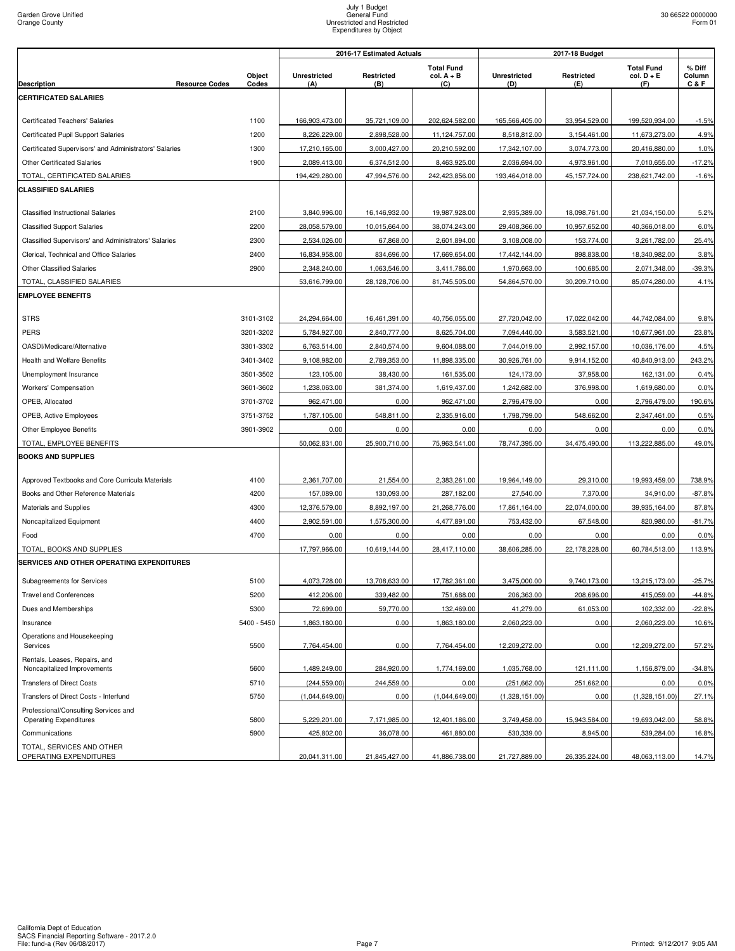| <b>Total Fund</b><br><b>Total Fund</b><br>% Diff<br>Object<br><b>Unrestricted</b><br>Restricted<br>$col. A + B$<br><b>Unrestricted</b><br>Restricted<br>$col. D + E$<br>Column<br><b>Resource Codes</b><br>Codes<br>C & F<br><b>Description</b><br>(C)<br>(F)<br>(A)<br>(B)<br>(D)<br>(E)<br><b>CERTIFICATED SALARIES</b><br>1100<br>166,903,473.00<br>35,721,109.00<br>202,624,582.00<br>165,566,405.00<br>33,954,529.00<br>199,520,934.00<br><b>Certificated Teachers' Salaries</b><br>2,898,528.00<br>8,518,812.00<br>Certificated Pupil Support Salaries<br>1200<br>8,226,229.00<br>11,124,757.00<br>3,154,461.00<br>11,673,273.00<br>Certificated Supervisors' and Administrators' Salaries<br>1300<br>17,210,165.00<br>3,000,427.00<br>20,210,592.00<br>17,342,107.00<br>3,074,773.00<br>20,416,880.00<br><b>Other Certificated Salaries</b><br>1900<br>2,089,413.00<br>6,374,512.00<br>8,463,925.00<br>2,036,694.00<br>4,973,961.00<br>7,010,655.00<br>TOTAL, CERTIFICATED SALARIES<br>194,429,280.00<br>47,994,576.00<br>242,423,856.00<br>193,464,018.00<br>45, 157, 724.00<br>238,621,742.00<br><b>CLASSIFIED SALARIES</b><br>2100<br>3,840,996.00<br>16,146,932.00<br>19,987,928.00<br>2,935,389.00<br>21,034,150.00<br><b>Classified Instructional Salaries</b><br>18,098,761.00<br>28,058,579.00<br>10,015,664.00<br>38,074,243.00<br>29,408,366.00<br>10,957,652.00<br><b>Classified Support Salaries</b><br>2200<br>40,366,018.00<br>2300<br>2,534,026.00<br>67,868.00<br>2,601,894.00<br>3,108,008.00<br>3,261,782.00<br>Classified Supervisors' and Administrators' Salaries<br>153,774.00<br>Clerical, Technical and Office Salaries<br>2400<br>16,834,958.00<br>834,696.00<br>17,669,654.00<br>17,442,144.00<br>898,838.00<br>18,340,982.00<br>2900<br><b>Other Classified Salaries</b><br>2,348,240.00<br>1,063,546.00<br>3,411,786.00<br>1,970,663.00<br>100,685.00<br>2,071,348.00<br>TOTAL, CLASSIFIED SALARIES<br>30,209,710.00<br>53,616,799.00<br>28,128,706.00<br>81,745,505.00<br>54,864,570.00<br>85,074,280.00<br><b>EMPLOYEE BENEFITS</b><br><b>STRS</b><br>3101-3102<br>24,294,664.00<br>16,461,391.00<br>40,756,055.00<br>27,720,042.00<br>17,022,042.00<br>44,742,084.00<br>PERS<br>3201-3202<br>7,094,440.00<br>5,784,927.00<br>2,840,777.00<br>8,625,704.00<br>3,583,521.00<br>10,677,961.00<br>3301-3302<br>6,763,514.00<br>2,840,574.00<br>9,604,088.00<br>7,044,019.00<br>2,992,157.00<br>10,036,176.00<br>OASDI/Medicare/Alternative<br><b>Health and Welfare Benefits</b><br>3401-3402<br>9,108,982.00<br>2,789,353.00<br>11,898,335.00<br>30,926,761.00<br>9,914,152.00<br>40,840,913.00<br>3501-3502<br>123,105.00<br>38,430.00<br>37,958.00<br>Unemployment Insurance<br>161,535.00<br>124,173.00<br>162,131.00<br><b>Workers' Compensation</b><br>3601-3602<br>1,238,063.00<br>381,374.00<br>1,619,437.00<br>1,242,682.00<br>376,998.00<br>1,619,680.00<br>OPEB, Allocated<br>3701-3702<br>962,471.00<br>0.00<br>962,471.00<br>2,796,479.00<br>0.00<br>2,796,479.00<br>OPEB, Active Employees<br>3751-3752<br>1,787,105.00<br>548,811.00<br>2,335,916.00<br>1,798,799.00<br>548,662.00<br>2,347,461.00<br>3901-3902<br>0.00<br>0.00<br>0.00<br>0.00<br>0.00<br>0.00<br>Other Employee Benefits<br>TOTAL, EMPLOYEE BENEFITS<br>50,062,831.00<br>25,900,710.00<br>75,963,541.00<br>78,747,395.00<br>34,475,490.00<br>113,222,885.00<br><b>BOOKS AND SUPPLIES</b><br>2,361,707.00<br>21,554.00<br>2,383,261.00<br>19,964,149.00<br>29,310.00<br>19,993,459.00<br>Approved Textbooks and Core Curricula Materials<br>4100<br>Books and Other Reference Materials<br>4200<br>157,089.00<br>130,093.00<br>287,182.00<br>27,540.00<br>7,370.00<br>34,910.00<br>12,376,579.00<br>8,892,197.00<br>21,268,776.00<br>17,861,164.00<br>22,074,000.00<br>39,935,164.00<br>Materials and Supplies<br>4300<br>4400<br>2,902,591.00<br>1,575,300.00<br>4,477,891.00<br>753,432.00<br>67,548.00<br>820,980.00<br>Noncapitalized Equipment<br>4700<br>0.00<br>0.00<br>0.00<br>0.00<br>0.00<br>0.00<br>Food<br>TOTAL, BOOKS AND SUPPLIES<br>17,797,966.00<br>38,606,285.00<br>60,784,513.00<br>10,619,144.00<br>28,417,110.00<br>22,178,228.00<br>SERVICES AND OTHER OPERATING EXPENDITURES<br>5100<br>4,073,728.00<br>17,782,361.00<br>3,475,000.00<br>9,740,173.00<br>13,215,173.00<br>$-25.7%$<br>Subagreements for Services<br>13,708,633.00<br><b>Travel and Conferences</b><br>5200<br>412,206.00<br>339,482.00<br>751,688.00<br>206,363.00<br>208,696.00<br>415,059.00<br>61,053.00<br>5300<br>72,699.00<br>59,770.00<br>132,469.00<br>41,279.00<br>102,332.00<br>Dues and Memberships<br>5400 - 5450<br>1,863,180.00<br>0.00<br>1,863,180.00<br>2,060,223.00<br>0.00<br>2,060,223.00<br>Insurance<br>Operations and Housekeeping<br>Services<br>5500<br>7,764,454.00<br>0.00<br>7,764,454.00<br>12,209,272.00<br>0.00<br>12,209,272.00<br>Rentals, Leases, Repairs, and<br>Noncapitalized Improvements<br>5600<br>1,489,249.00<br>284,920.00<br>1,774,169.00<br>1,035,768.00<br>121,111.00<br>1,156,879.00<br><b>Transfers of Direct Costs</b><br>5710<br>(244, 559.00)<br>244,559.00<br>0.00<br>(251, 662.00)<br>251,662.00<br>0.00<br>Transfers of Direct Costs - Interfund<br>(1,328,151.00)<br>5750<br>(1,044,649.00)<br>(1,044,649.00)<br>(1,328,151.00)<br>0.00<br>0.00<br>Professional/Consulting Services and<br>5800<br><b>Operating Expenditures</b><br>5,229,201.00<br>7,171,985.00<br>12,401,186.00<br>3,749,458.00<br>15,943,584.00<br>19,693,042.00<br>5900<br>425,802.00<br>36,078.00<br>461,880.00<br>530,339.00<br>Communications<br>8,945.00<br>539,284.00<br>TOTAL, SERVICES AND OTHER<br>OPERATING EXPENDITURES<br>20,041,311.00<br>21,845,427.00<br>41,886,738.00<br>21,727,889.00<br>26,335,224.00<br>48,063,113.00 |  | 2017-18 Budget<br>2016-17 Estimated Actuals |  |  |  |  |  |
|-----------------------------------------------------------------------------------------------------------------------------------------------------------------------------------------------------------------------------------------------------------------------------------------------------------------------------------------------------------------------------------------------------------------------------------------------------------------------------------------------------------------------------------------------------------------------------------------------------------------------------------------------------------------------------------------------------------------------------------------------------------------------------------------------------------------------------------------------------------------------------------------------------------------------------------------------------------------------------------------------------------------------------------------------------------------------------------------------------------------------------------------------------------------------------------------------------------------------------------------------------------------------------------------------------------------------------------------------------------------------------------------------------------------------------------------------------------------------------------------------------------------------------------------------------------------------------------------------------------------------------------------------------------------------------------------------------------------------------------------------------------------------------------------------------------------------------------------------------------------------------------------------------------------------------------------------------------------------------------------------------------------------------------------------------------------------------------------------------------------------------------------------------------------------------------------------------------------------------------------------------------------------------------------------------------------------------------------------------------------------------------------------------------------------------------------------------------------------------------------------------------------------------------------------------------------------------------------------------------------------------------------------------------------------------------------------------------------------------------------------------------------------------------------------------------------------------------------------------------------------------------------------------------------------------------------------------------------------------------------------------------------------------------------------------------------------------------------------------------------------------------------------------------------------------------------------------------------------------------------------------------------------------------------------------------------------------------------------------------------------------------------------------------------------------------------------------------------------------------------------------------------------------------------------------------------------------------------------------------------------------------------------------------------------------------------------------------------------------------------------------------------------------------------------------------------------------------------------------------------------------------------------------------------------------------------------------------------------------------------------------------------------------------------------------------------------------------------------------------------------------------------------------------------------------------------------------------------------------------------------------------------------------------------------------------------------------------------------------------------------------------------------------------------------------------------------------------------------------------------------------------------------------------------------------------------------------------------------------------------------------------------------------------------------------------------------------------------------------------------------------------------------------------------------------------------------------------------------------------------------------------------------------------------------------------------------------------------------------------------------------------------------------------------------------------------------------------------------------------------------------------------------------------------------------------------------------------------------------------------------------------------------------------------------------------------------------------------------------------------------------------------------------------------------------------------------------------------------------------------------------------------------------------------------------------------------------------------------------------------------------------------------------------------------------------------------------------------------------------------------------------------------------|--|---------------------------------------------|--|--|--|--|--|
|                                                                                                                                                                                                                                                                                                                                                                                                                                                                                                                                                                                                                                                                                                                                                                                                                                                                                                                                                                                                                                                                                                                                                                                                                                                                                                                                                                                                                                                                                                                                                                                                                                                                                                                                                                                                                                                                                                                                                                                                                                                                                                                                                                                                                                                                                                                                                                                                                                                                                                                                                                                                                                                                                                                                                                                                                                                                                                                                                                                                                                                                                                                                                                                                                                                                                                                                                                                                                                                                                                                                                                                                                                                                                                                                                                                                                                                                                                                                                                                                                                                                                                                                                                                                                                                                                                                                                                                                                                                                                                                                                                                                                                                                                                                                                                                                                                                                                                                                                                                                                                                                                                                                                                                                                                                                                                                                                                                                                                                                                                                                                                                                                                                                                                                                                                             |  |                                             |  |  |  |  |  |
|                                                                                                                                                                                                                                                                                                                                                                                                                                                                                                                                                                                                                                                                                                                                                                                                                                                                                                                                                                                                                                                                                                                                                                                                                                                                                                                                                                                                                                                                                                                                                                                                                                                                                                                                                                                                                                                                                                                                                                                                                                                                                                                                                                                                                                                                                                                                                                                                                                                                                                                                                                                                                                                                                                                                                                                                                                                                                                                                                                                                                                                                                                                                                                                                                                                                                                                                                                                                                                                                                                                                                                                                                                                                                                                                                                                                                                                                                                                                                                                                                                                                                                                                                                                                                                                                                                                                                                                                                                                                                                                                                                                                                                                                                                                                                                                                                                                                                                                                                                                                                                                                                                                                                                                                                                                                                                                                                                                                                                                                                                                                                                                                                                                                                                                                                                             |  |                                             |  |  |  |  |  |
| $-1.5%$<br>4.9%<br>1.0%<br>$-17.2%$<br>$-1.6%$<br>5.2%<br>6.0%<br>25.4%<br>3.8%<br>-39.3%<br>4.1%<br>9.8%<br>23.8%<br>4.5%<br>243.2%<br>0.4%<br>0.0%<br>190.6%<br>0.5%<br>0.0%<br>49.0%<br>738.9%<br>$-87.8%$<br>87.8%<br>$-81.7%$<br>0.0%<br>113.9%<br>$-44.8%$<br>$-22.8%$<br>10.6%<br>57.2%<br>$-34.8%$<br>0.0%<br>27.1%<br>58.8%<br>16.8%<br>14.7%                                                                                                                                                                                                                                                                                                                                                                                                                                                                                                                                                                                                                                                                                                                                                                                                                                                                                                                                                                                                                                                                                                                                                                                                                                                                                                                                                                                                                                                                                                                                                                                                                                                                                                                                                                                                                                                                                                                                                                                                                                                                                                                                                                                                                                                                                                                                                                                                                                                                                                                                                                                                                                                                                                                                                                                                                                                                                                                                                                                                                                                                                                                                                                                                                                                                                                                                                                                                                                                                                                                                                                                                                                                                                                                                                                                                                                                                                                                                                                                                                                                                                                                                                                                                                                                                                                                                                                                                                                                                                                                                                                                                                                                                                                                                                                                                                                                                                                                                                                                                                                                                                                                                                                                                                                                                                                                                                                                                                      |  |                                             |  |  |  |  |  |
|                                                                                                                                                                                                                                                                                                                                                                                                                                                                                                                                                                                                                                                                                                                                                                                                                                                                                                                                                                                                                                                                                                                                                                                                                                                                                                                                                                                                                                                                                                                                                                                                                                                                                                                                                                                                                                                                                                                                                                                                                                                                                                                                                                                                                                                                                                                                                                                                                                                                                                                                                                                                                                                                                                                                                                                                                                                                                                                                                                                                                                                                                                                                                                                                                                                                                                                                                                                                                                                                                                                                                                                                                                                                                                                                                                                                                                                                                                                                                                                                                                                                                                                                                                                                                                                                                                                                                                                                                                                                                                                                                                                                                                                                                                                                                                                                                                                                                                                                                                                                                                                                                                                                                                                                                                                                                                                                                                                                                                                                                                                                                                                                                                                                                                                                                                             |  |                                             |  |  |  |  |  |
|                                                                                                                                                                                                                                                                                                                                                                                                                                                                                                                                                                                                                                                                                                                                                                                                                                                                                                                                                                                                                                                                                                                                                                                                                                                                                                                                                                                                                                                                                                                                                                                                                                                                                                                                                                                                                                                                                                                                                                                                                                                                                                                                                                                                                                                                                                                                                                                                                                                                                                                                                                                                                                                                                                                                                                                                                                                                                                                                                                                                                                                                                                                                                                                                                                                                                                                                                                                                                                                                                                                                                                                                                                                                                                                                                                                                                                                                                                                                                                                                                                                                                                                                                                                                                                                                                                                                                                                                                                                                                                                                                                                                                                                                                                                                                                                                                                                                                                                                                                                                                                                                                                                                                                                                                                                                                                                                                                                                                                                                                                                                                                                                                                                                                                                                                                             |  |                                             |  |  |  |  |  |
|                                                                                                                                                                                                                                                                                                                                                                                                                                                                                                                                                                                                                                                                                                                                                                                                                                                                                                                                                                                                                                                                                                                                                                                                                                                                                                                                                                                                                                                                                                                                                                                                                                                                                                                                                                                                                                                                                                                                                                                                                                                                                                                                                                                                                                                                                                                                                                                                                                                                                                                                                                                                                                                                                                                                                                                                                                                                                                                                                                                                                                                                                                                                                                                                                                                                                                                                                                                                                                                                                                                                                                                                                                                                                                                                                                                                                                                                                                                                                                                                                                                                                                                                                                                                                                                                                                                                                                                                                                                                                                                                                                                                                                                                                                                                                                                                                                                                                                                                                                                                                                                                                                                                                                                                                                                                                                                                                                                                                                                                                                                                                                                                                                                                                                                                                                             |  |                                             |  |  |  |  |  |
|                                                                                                                                                                                                                                                                                                                                                                                                                                                                                                                                                                                                                                                                                                                                                                                                                                                                                                                                                                                                                                                                                                                                                                                                                                                                                                                                                                                                                                                                                                                                                                                                                                                                                                                                                                                                                                                                                                                                                                                                                                                                                                                                                                                                                                                                                                                                                                                                                                                                                                                                                                                                                                                                                                                                                                                                                                                                                                                                                                                                                                                                                                                                                                                                                                                                                                                                                                                                                                                                                                                                                                                                                                                                                                                                                                                                                                                                                                                                                                                                                                                                                                                                                                                                                                                                                                                                                                                                                                                                                                                                                                                                                                                                                                                                                                                                                                                                                                                                                                                                                                                                                                                                                                                                                                                                                                                                                                                                                                                                                                                                                                                                                                                                                                                                                                             |  |                                             |  |  |  |  |  |
|                                                                                                                                                                                                                                                                                                                                                                                                                                                                                                                                                                                                                                                                                                                                                                                                                                                                                                                                                                                                                                                                                                                                                                                                                                                                                                                                                                                                                                                                                                                                                                                                                                                                                                                                                                                                                                                                                                                                                                                                                                                                                                                                                                                                                                                                                                                                                                                                                                                                                                                                                                                                                                                                                                                                                                                                                                                                                                                                                                                                                                                                                                                                                                                                                                                                                                                                                                                                                                                                                                                                                                                                                                                                                                                                                                                                                                                                                                                                                                                                                                                                                                                                                                                                                                                                                                                                                                                                                                                                                                                                                                                                                                                                                                                                                                                                                                                                                                                                                                                                                                                                                                                                                                                                                                                                                                                                                                                                                                                                                                                                                                                                                                                                                                                                                                             |  |                                             |  |  |  |  |  |
|                                                                                                                                                                                                                                                                                                                                                                                                                                                                                                                                                                                                                                                                                                                                                                                                                                                                                                                                                                                                                                                                                                                                                                                                                                                                                                                                                                                                                                                                                                                                                                                                                                                                                                                                                                                                                                                                                                                                                                                                                                                                                                                                                                                                                                                                                                                                                                                                                                                                                                                                                                                                                                                                                                                                                                                                                                                                                                                                                                                                                                                                                                                                                                                                                                                                                                                                                                                                                                                                                                                                                                                                                                                                                                                                                                                                                                                                                                                                                                                                                                                                                                                                                                                                                                                                                                                                                                                                                                                                                                                                                                                                                                                                                                                                                                                                                                                                                                                                                                                                                                                                                                                                                                                                                                                                                                                                                                                                                                                                                                                                                                                                                                                                                                                                                                             |  |                                             |  |  |  |  |  |
|                                                                                                                                                                                                                                                                                                                                                                                                                                                                                                                                                                                                                                                                                                                                                                                                                                                                                                                                                                                                                                                                                                                                                                                                                                                                                                                                                                                                                                                                                                                                                                                                                                                                                                                                                                                                                                                                                                                                                                                                                                                                                                                                                                                                                                                                                                                                                                                                                                                                                                                                                                                                                                                                                                                                                                                                                                                                                                                                                                                                                                                                                                                                                                                                                                                                                                                                                                                                                                                                                                                                                                                                                                                                                                                                                                                                                                                                                                                                                                                                                                                                                                                                                                                                                                                                                                                                                                                                                                                                                                                                                                                                                                                                                                                                                                                                                                                                                                                                                                                                                                                                                                                                                                                                                                                                                                                                                                                                                                                                                                                                                                                                                                                                                                                                                                             |  |                                             |  |  |  |  |  |
|                                                                                                                                                                                                                                                                                                                                                                                                                                                                                                                                                                                                                                                                                                                                                                                                                                                                                                                                                                                                                                                                                                                                                                                                                                                                                                                                                                                                                                                                                                                                                                                                                                                                                                                                                                                                                                                                                                                                                                                                                                                                                                                                                                                                                                                                                                                                                                                                                                                                                                                                                                                                                                                                                                                                                                                                                                                                                                                                                                                                                                                                                                                                                                                                                                                                                                                                                                                                                                                                                                                                                                                                                                                                                                                                                                                                                                                                                                                                                                                                                                                                                                                                                                                                                                                                                                                                                                                                                                                                                                                                                                                                                                                                                                                                                                                                                                                                                                                                                                                                                                                                                                                                                                                                                                                                                                                                                                                                                                                                                                                                                                                                                                                                                                                                                                             |  |                                             |  |  |  |  |  |
|                                                                                                                                                                                                                                                                                                                                                                                                                                                                                                                                                                                                                                                                                                                                                                                                                                                                                                                                                                                                                                                                                                                                                                                                                                                                                                                                                                                                                                                                                                                                                                                                                                                                                                                                                                                                                                                                                                                                                                                                                                                                                                                                                                                                                                                                                                                                                                                                                                                                                                                                                                                                                                                                                                                                                                                                                                                                                                                                                                                                                                                                                                                                                                                                                                                                                                                                                                                                                                                                                                                                                                                                                                                                                                                                                                                                                                                                                                                                                                                                                                                                                                                                                                                                                                                                                                                                                                                                                                                                                                                                                                                                                                                                                                                                                                                                                                                                                                                                                                                                                                                                                                                                                                                                                                                                                                                                                                                                                                                                                                                                                                                                                                                                                                                                                                             |  |                                             |  |  |  |  |  |
|                                                                                                                                                                                                                                                                                                                                                                                                                                                                                                                                                                                                                                                                                                                                                                                                                                                                                                                                                                                                                                                                                                                                                                                                                                                                                                                                                                                                                                                                                                                                                                                                                                                                                                                                                                                                                                                                                                                                                                                                                                                                                                                                                                                                                                                                                                                                                                                                                                                                                                                                                                                                                                                                                                                                                                                                                                                                                                                                                                                                                                                                                                                                                                                                                                                                                                                                                                                                                                                                                                                                                                                                                                                                                                                                                                                                                                                                                                                                                                                                                                                                                                                                                                                                                                                                                                                                                                                                                                                                                                                                                                                                                                                                                                                                                                                                                                                                                                                                                                                                                                                                                                                                                                                                                                                                                                                                                                                                                                                                                                                                                                                                                                                                                                                                                                             |  |                                             |  |  |  |  |  |
|                                                                                                                                                                                                                                                                                                                                                                                                                                                                                                                                                                                                                                                                                                                                                                                                                                                                                                                                                                                                                                                                                                                                                                                                                                                                                                                                                                                                                                                                                                                                                                                                                                                                                                                                                                                                                                                                                                                                                                                                                                                                                                                                                                                                                                                                                                                                                                                                                                                                                                                                                                                                                                                                                                                                                                                                                                                                                                                                                                                                                                                                                                                                                                                                                                                                                                                                                                                                                                                                                                                                                                                                                                                                                                                                                                                                                                                                                                                                                                                                                                                                                                                                                                                                                                                                                                                                                                                                                                                                                                                                                                                                                                                                                                                                                                                                                                                                                                                                                                                                                                                                                                                                                                                                                                                                                                                                                                                                                                                                                                                                                                                                                                                                                                                                                                             |  |                                             |  |  |  |  |  |
|                                                                                                                                                                                                                                                                                                                                                                                                                                                                                                                                                                                                                                                                                                                                                                                                                                                                                                                                                                                                                                                                                                                                                                                                                                                                                                                                                                                                                                                                                                                                                                                                                                                                                                                                                                                                                                                                                                                                                                                                                                                                                                                                                                                                                                                                                                                                                                                                                                                                                                                                                                                                                                                                                                                                                                                                                                                                                                                                                                                                                                                                                                                                                                                                                                                                                                                                                                                                                                                                                                                                                                                                                                                                                                                                                                                                                                                                                                                                                                                                                                                                                                                                                                                                                                                                                                                                                                                                                                                                                                                                                                                                                                                                                                                                                                                                                                                                                                                                                                                                                                                                                                                                                                                                                                                                                                                                                                                                                                                                                                                                                                                                                                                                                                                                                                             |  |                                             |  |  |  |  |  |
|                                                                                                                                                                                                                                                                                                                                                                                                                                                                                                                                                                                                                                                                                                                                                                                                                                                                                                                                                                                                                                                                                                                                                                                                                                                                                                                                                                                                                                                                                                                                                                                                                                                                                                                                                                                                                                                                                                                                                                                                                                                                                                                                                                                                                                                                                                                                                                                                                                                                                                                                                                                                                                                                                                                                                                                                                                                                                                                                                                                                                                                                                                                                                                                                                                                                                                                                                                                                                                                                                                                                                                                                                                                                                                                                                                                                                                                                                                                                                                                                                                                                                                                                                                                                                                                                                                                                                                                                                                                                                                                                                                                                                                                                                                                                                                                                                                                                                                                                                                                                                                                                                                                                                                                                                                                                                                                                                                                                                                                                                                                                                                                                                                                                                                                                                                             |  |                                             |  |  |  |  |  |
|                                                                                                                                                                                                                                                                                                                                                                                                                                                                                                                                                                                                                                                                                                                                                                                                                                                                                                                                                                                                                                                                                                                                                                                                                                                                                                                                                                                                                                                                                                                                                                                                                                                                                                                                                                                                                                                                                                                                                                                                                                                                                                                                                                                                                                                                                                                                                                                                                                                                                                                                                                                                                                                                                                                                                                                                                                                                                                                                                                                                                                                                                                                                                                                                                                                                                                                                                                                                                                                                                                                                                                                                                                                                                                                                                                                                                                                                                                                                                                                                                                                                                                                                                                                                                                                                                                                                                                                                                                                                                                                                                                                                                                                                                                                                                                                                                                                                                                                                                                                                                                                                                                                                                                                                                                                                                                                                                                                                                                                                                                                                                                                                                                                                                                                                                                             |  |                                             |  |  |  |  |  |
|                                                                                                                                                                                                                                                                                                                                                                                                                                                                                                                                                                                                                                                                                                                                                                                                                                                                                                                                                                                                                                                                                                                                                                                                                                                                                                                                                                                                                                                                                                                                                                                                                                                                                                                                                                                                                                                                                                                                                                                                                                                                                                                                                                                                                                                                                                                                                                                                                                                                                                                                                                                                                                                                                                                                                                                                                                                                                                                                                                                                                                                                                                                                                                                                                                                                                                                                                                                                                                                                                                                                                                                                                                                                                                                                                                                                                                                                                                                                                                                                                                                                                                                                                                                                                                                                                                                                                                                                                                                                                                                                                                                                                                                                                                                                                                                                                                                                                                                                                                                                                                                                                                                                                                                                                                                                                                                                                                                                                                                                                                                                                                                                                                                                                                                                                                             |  |                                             |  |  |  |  |  |
|                                                                                                                                                                                                                                                                                                                                                                                                                                                                                                                                                                                                                                                                                                                                                                                                                                                                                                                                                                                                                                                                                                                                                                                                                                                                                                                                                                                                                                                                                                                                                                                                                                                                                                                                                                                                                                                                                                                                                                                                                                                                                                                                                                                                                                                                                                                                                                                                                                                                                                                                                                                                                                                                                                                                                                                                                                                                                                                                                                                                                                                                                                                                                                                                                                                                                                                                                                                                                                                                                                                                                                                                                                                                                                                                                                                                                                                                                                                                                                                                                                                                                                                                                                                                                                                                                                                                                                                                                                                                                                                                                                                                                                                                                                                                                                                                                                                                                                                                                                                                                                                                                                                                                                                                                                                                                                                                                                                                                                                                                                                                                                                                                                                                                                                                                                             |  |                                             |  |  |  |  |  |
|                                                                                                                                                                                                                                                                                                                                                                                                                                                                                                                                                                                                                                                                                                                                                                                                                                                                                                                                                                                                                                                                                                                                                                                                                                                                                                                                                                                                                                                                                                                                                                                                                                                                                                                                                                                                                                                                                                                                                                                                                                                                                                                                                                                                                                                                                                                                                                                                                                                                                                                                                                                                                                                                                                                                                                                                                                                                                                                                                                                                                                                                                                                                                                                                                                                                                                                                                                                                                                                                                                                                                                                                                                                                                                                                                                                                                                                                                                                                                                                                                                                                                                                                                                                                                                                                                                                                                                                                                                                                                                                                                                                                                                                                                                                                                                                                                                                                                                                                                                                                                                                                                                                                                                                                                                                                                                                                                                                                                                                                                                                                                                                                                                                                                                                                                                             |  |                                             |  |  |  |  |  |
|                                                                                                                                                                                                                                                                                                                                                                                                                                                                                                                                                                                                                                                                                                                                                                                                                                                                                                                                                                                                                                                                                                                                                                                                                                                                                                                                                                                                                                                                                                                                                                                                                                                                                                                                                                                                                                                                                                                                                                                                                                                                                                                                                                                                                                                                                                                                                                                                                                                                                                                                                                                                                                                                                                                                                                                                                                                                                                                                                                                                                                                                                                                                                                                                                                                                                                                                                                                                                                                                                                                                                                                                                                                                                                                                                                                                                                                                                                                                                                                                                                                                                                                                                                                                                                                                                                                                                                                                                                                                                                                                                                                                                                                                                                                                                                                                                                                                                                                                                                                                                                                                                                                                                                                                                                                                                                                                                                                                                                                                                                                                                                                                                                                                                                                                                                             |  |                                             |  |  |  |  |  |
|                                                                                                                                                                                                                                                                                                                                                                                                                                                                                                                                                                                                                                                                                                                                                                                                                                                                                                                                                                                                                                                                                                                                                                                                                                                                                                                                                                                                                                                                                                                                                                                                                                                                                                                                                                                                                                                                                                                                                                                                                                                                                                                                                                                                                                                                                                                                                                                                                                                                                                                                                                                                                                                                                                                                                                                                                                                                                                                                                                                                                                                                                                                                                                                                                                                                                                                                                                                                                                                                                                                                                                                                                                                                                                                                                                                                                                                                                                                                                                                                                                                                                                                                                                                                                                                                                                                                                                                                                                                                                                                                                                                                                                                                                                                                                                                                                                                                                                                                                                                                                                                                                                                                                                                                                                                                                                                                                                                                                                                                                                                                                                                                                                                                                                                                                                             |  |                                             |  |  |  |  |  |
|                                                                                                                                                                                                                                                                                                                                                                                                                                                                                                                                                                                                                                                                                                                                                                                                                                                                                                                                                                                                                                                                                                                                                                                                                                                                                                                                                                                                                                                                                                                                                                                                                                                                                                                                                                                                                                                                                                                                                                                                                                                                                                                                                                                                                                                                                                                                                                                                                                                                                                                                                                                                                                                                                                                                                                                                                                                                                                                                                                                                                                                                                                                                                                                                                                                                                                                                                                                                                                                                                                                                                                                                                                                                                                                                                                                                                                                                                                                                                                                                                                                                                                                                                                                                                                                                                                                                                                                                                                                                                                                                                                                                                                                                                                                                                                                                                                                                                                                                                                                                                                                                                                                                                                                                                                                                                                                                                                                                                                                                                                                                                                                                                                                                                                                                                                             |  |                                             |  |  |  |  |  |
|                                                                                                                                                                                                                                                                                                                                                                                                                                                                                                                                                                                                                                                                                                                                                                                                                                                                                                                                                                                                                                                                                                                                                                                                                                                                                                                                                                                                                                                                                                                                                                                                                                                                                                                                                                                                                                                                                                                                                                                                                                                                                                                                                                                                                                                                                                                                                                                                                                                                                                                                                                                                                                                                                                                                                                                                                                                                                                                                                                                                                                                                                                                                                                                                                                                                                                                                                                                                                                                                                                                                                                                                                                                                                                                                                                                                                                                                                                                                                                                                                                                                                                                                                                                                                                                                                                                                                                                                                                                                                                                                                                                                                                                                                                                                                                                                                                                                                                                                                                                                                                                                                                                                                                                                                                                                                                                                                                                                                                                                                                                                                                                                                                                                                                                                                                             |  |                                             |  |  |  |  |  |
|                                                                                                                                                                                                                                                                                                                                                                                                                                                                                                                                                                                                                                                                                                                                                                                                                                                                                                                                                                                                                                                                                                                                                                                                                                                                                                                                                                                                                                                                                                                                                                                                                                                                                                                                                                                                                                                                                                                                                                                                                                                                                                                                                                                                                                                                                                                                                                                                                                                                                                                                                                                                                                                                                                                                                                                                                                                                                                                                                                                                                                                                                                                                                                                                                                                                                                                                                                                                                                                                                                                                                                                                                                                                                                                                                                                                                                                                                                                                                                                                                                                                                                                                                                                                                                                                                                                                                                                                                                                                                                                                                                                                                                                                                                                                                                                                                                                                                                                                                                                                                                                                                                                                                                                                                                                                                                                                                                                                                                                                                                                                                                                                                                                                                                                                                                             |  |                                             |  |  |  |  |  |
|                                                                                                                                                                                                                                                                                                                                                                                                                                                                                                                                                                                                                                                                                                                                                                                                                                                                                                                                                                                                                                                                                                                                                                                                                                                                                                                                                                                                                                                                                                                                                                                                                                                                                                                                                                                                                                                                                                                                                                                                                                                                                                                                                                                                                                                                                                                                                                                                                                                                                                                                                                                                                                                                                                                                                                                                                                                                                                                                                                                                                                                                                                                                                                                                                                                                                                                                                                                                                                                                                                                                                                                                                                                                                                                                                                                                                                                                                                                                                                                                                                                                                                                                                                                                                                                                                                                                                                                                                                                                                                                                                                                                                                                                                                                                                                                                                                                                                                                                                                                                                                                                                                                                                                                                                                                                                                                                                                                                                                                                                                                                                                                                                                                                                                                                                                             |  |                                             |  |  |  |  |  |
|                                                                                                                                                                                                                                                                                                                                                                                                                                                                                                                                                                                                                                                                                                                                                                                                                                                                                                                                                                                                                                                                                                                                                                                                                                                                                                                                                                                                                                                                                                                                                                                                                                                                                                                                                                                                                                                                                                                                                                                                                                                                                                                                                                                                                                                                                                                                                                                                                                                                                                                                                                                                                                                                                                                                                                                                                                                                                                                                                                                                                                                                                                                                                                                                                                                                                                                                                                                                                                                                                                                                                                                                                                                                                                                                                                                                                                                                                                                                                                                                                                                                                                                                                                                                                                                                                                                                                                                                                                                                                                                                                                                                                                                                                                                                                                                                                                                                                                                                                                                                                                                                                                                                                                                                                                                                                                                                                                                                                                                                                                                                                                                                                                                                                                                                                                             |  |                                             |  |  |  |  |  |
|                                                                                                                                                                                                                                                                                                                                                                                                                                                                                                                                                                                                                                                                                                                                                                                                                                                                                                                                                                                                                                                                                                                                                                                                                                                                                                                                                                                                                                                                                                                                                                                                                                                                                                                                                                                                                                                                                                                                                                                                                                                                                                                                                                                                                                                                                                                                                                                                                                                                                                                                                                                                                                                                                                                                                                                                                                                                                                                                                                                                                                                                                                                                                                                                                                                                                                                                                                                                                                                                                                                                                                                                                                                                                                                                                                                                                                                                                                                                                                                                                                                                                                                                                                                                                                                                                                                                                                                                                                                                                                                                                                                                                                                                                                                                                                                                                                                                                                                                                                                                                                                                                                                                                                                                                                                                                                                                                                                                                                                                                                                                                                                                                                                                                                                                                                             |  |                                             |  |  |  |  |  |
|                                                                                                                                                                                                                                                                                                                                                                                                                                                                                                                                                                                                                                                                                                                                                                                                                                                                                                                                                                                                                                                                                                                                                                                                                                                                                                                                                                                                                                                                                                                                                                                                                                                                                                                                                                                                                                                                                                                                                                                                                                                                                                                                                                                                                                                                                                                                                                                                                                                                                                                                                                                                                                                                                                                                                                                                                                                                                                                                                                                                                                                                                                                                                                                                                                                                                                                                                                                                                                                                                                                                                                                                                                                                                                                                                                                                                                                                                                                                                                                                                                                                                                                                                                                                                                                                                                                                                                                                                                                                                                                                                                                                                                                                                                                                                                                                                                                                                                                                                                                                                                                                                                                                                                                                                                                                                                                                                                                                                                                                                                                                                                                                                                                                                                                                                                             |  |                                             |  |  |  |  |  |
|                                                                                                                                                                                                                                                                                                                                                                                                                                                                                                                                                                                                                                                                                                                                                                                                                                                                                                                                                                                                                                                                                                                                                                                                                                                                                                                                                                                                                                                                                                                                                                                                                                                                                                                                                                                                                                                                                                                                                                                                                                                                                                                                                                                                                                                                                                                                                                                                                                                                                                                                                                                                                                                                                                                                                                                                                                                                                                                                                                                                                                                                                                                                                                                                                                                                                                                                                                                                                                                                                                                                                                                                                                                                                                                                                                                                                                                                                                                                                                                                                                                                                                                                                                                                                                                                                                                                                                                                                                                                                                                                                                                                                                                                                                                                                                                                                                                                                                                                                                                                                                                                                                                                                                                                                                                                                                                                                                                                                                                                                                                                                                                                                                                                                                                                                                             |  |                                             |  |  |  |  |  |
|                                                                                                                                                                                                                                                                                                                                                                                                                                                                                                                                                                                                                                                                                                                                                                                                                                                                                                                                                                                                                                                                                                                                                                                                                                                                                                                                                                                                                                                                                                                                                                                                                                                                                                                                                                                                                                                                                                                                                                                                                                                                                                                                                                                                                                                                                                                                                                                                                                                                                                                                                                                                                                                                                                                                                                                                                                                                                                                                                                                                                                                                                                                                                                                                                                                                                                                                                                                                                                                                                                                                                                                                                                                                                                                                                                                                                                                                                                                                                                                                                                                                                                                                                                                                                                                                                                                                                                                                                                                                                                                                                                                                                                                                                                                                                                                                                                                                                                                                                                                                                                                                                                                                                                                                                                                                                                                                                                                                                                                                                                                                                                                                                                                                                                                                                                             |  |                                             |  |  |  |  |  |
|                                                                                                                                                                                                                                                                                                                                                                                                                                                                                                                                                                                                                                                                                                                                                                                                                                                                                                                                                                                                                                                                                                                                                                                                                                                                                                                                                                                                                                                                                                                                                                                                                                                                                                                                                                                                                                                                                                                                                                                                                                                                                                                                                                                                                                                                                                                                                                                                                                                                                                                                                                                                                                                                                                                                                                                                                                                                                                                                                                                                                                                                                                                                                                                                                                                                                                                                                                                                                                                                                                                                                                                                                                                                                                                                                                                                                                                                                                                                                                                                                                                                                                                                                                                                                                                                                                                                                                                                                                                                                                                                                                                                                                                                                                                                                                                                                                                                                                                                                                                                                                                                                                                                                                                                                                                                                                                                                                                                                                                                                                                                                                                                                                                                                                                                                                             |  |                                             |  |  |  |  |  |
|                                                                                                                                                                                                                                                                                                                                                                                                                                                                                                                                                                                                                                                                                                                                                                                                                                                                                                                                                                                                                                                                                                                                                                                                                                                                                                                                                                                                                                                                                                                                                                                                                                                                                                                                                                                                                                                                                                                                                                                                                                                                                                                                                                                                                                                                                                                                                                                                                                                                                                                                                                                                                                                                                                                                                                                                                                                                                                                                                                                                                                                                                                                                                                                                                                                                                                                                                                                                                                                                                                                                                                                                                                                                                                                                                                                                                                                                                                                                                                                                                                                                                                                                                                                                                                                                                                                                                                                                                                                                                                                                                                                                                                                                                                                                                                                                                                                                                                                                                                                                                                                                                                                                                                                                                                                                                                                                                                                                                                                                                                                                                                                                                                                                                                                                                                             |  |                                             |  |  |  |  |  |
|                                                                                                                                                                                                                                                                                                                                                                                                                                                                                                                                                                                                                                                                                                                                                                                                                                                                                                                                                                                                                                                                                                                                                                                                                                                                                                                                                                                                                                                                                                                                                                                                                                                                                                                                                                                                                                                                                                                                                                                                                                                                                                                                                                                                                                                                                                                                                                                                                                                                                                                                                                                                                                                                                                                                                                                                                                                                                                                                                                                                                                                                                                                                                                                                                                                                                                                                                                                                                                                                                                                                                                                                                                                                                                                                                                                                                                                                                                                                                                                                                                                                                                                                                                                                                                                                                                                                                                                                                                                                                                                                                                                                                                                                                                                                                                                                                                                                                                                                                                                                                                                                                                                                                                                                                                                                                                                                                                                                                                                                                                                                                                                                                                                                                                                                                                             |  |                                             |  |  |  |  |  |
|                                                                                                                                                                                                                                                                                                                                                                                                                                                                                                                                                                                                                                                                                                                                                                                                                                                                                                                                                                                                                                                                                                                                                                                                                                                                                                                                                                                                                                                                                                                                                                                                                                                                                                                                                                                                                                                                                                                                                                                                                                                                                                                                                                                                                                                                                                                                                                                                                                                                                                                                                                                                                                                                                                                                                                                                                                                                                                                                                                                                                                                                                                                                                                                                                                                                                                                                                                                                                                                                                                                                                                                                                                                                                                                                                                                                                                                                                                                                                                                                                                                                                                                                                                                                                                                                                                                                                                                                                                                                                                                                                                                                                                                                                                                                                                                                                                                                                                                                                                                                                                                                                                                                                                                                                                                                                                                                                                                                                                                                                                                                                                                                                                                                                                                                                                             |  |                                             |  |  |  |  |  |
|                                                                                                                                                                                                                                                                                                                                                                                                                                                                                                                                                                                                                                                                                                                                                                                                                                                                                                                                                                                                                                                                                                                                                                                                                                                                                                                                                                                                                                                                                                                                                                                                                                                                                                                                                                                                                                                                                                                                                                                                                                                                                                                                                                                                                                                                                                                                                                                                                                                                                                                                                                                                                                                                                                                                                                                                                                                                                                                                                                                                                                                                                                                                                                                                                                                                                                                                                                                                                                                                                                                                                                                                                                                                                                                                                                                                                                                                                                                                                                                                                                                                                                                                                                                                                                                                                                                                                                                                                                                                                                                                                                                                                                                                                                                                                                                                                                                                                                                                                                                                                                                                                                                                                                                                                                                                                                                                                                                                                                                                                                                                                                                                                                                                                                                                                                             |  |                                             |  |  |  |  |  |
|                                                                                                                                                                                                                                                                                                                                                                                                                                                                                                                                                                                                                                                                                                                                                                                                                                                                                                                                                                                                                                                                                                                                                                                                                                                                                                                                                                                                                                                                                                                                                                                                                                                                                                                                                                                                                                                                                                                                                                                                                                                                                                                                                                                                                                                                                                                                                                                                                                                                                                                                                                                                                                                                                                                                                                                                                                                                                                                                                                                                                                                                                                                                                                                                                                                                                                                                                                                                                                                                                                                                                                                                                                                                                                                                                                                                                                                                                                                                                                                                                                                                                                                                                                                                                                                                                                                                                                                                                                                                                                                                                                                                                                                                                                                                                                                                                                                                                                                                                                                                                                                                                                                                                                                                                                                                                                                                                                                                                                                                                                                                                                                                                                                                                                                                                                             |  |                                             |  |  |  |  |  |
|                                                                                                                                                                                                                                                                                                                                                                                                                                                                                                                                                                                                                                                                                                                                                                                                                                                                                                                                                                                                                                                                                                                                                                                                                                                                                                                                                                                                                                                                                                                                                                                                                                                                                                                                                                                                                                                                                                                                                                                                                                                                                                                                                                                                                                                                                                                                                                                                                                                                                                                                                                                                                                                                                                                                                                                                                                                                                                                                                                                                                                                                                                                                                                                                                                                                                                                                                                                                                                                                                                                                                                                                                                                                                                                                                                                                                                                                                                                                                                                                                                                                                                                                                                                                                                                                                                                                                                                                                                                                                                                                                                                                                                                                                                                                                                                                                                                                                                                                                                                                                                                                                                                                                                                                                                                                                                                                                                                                                                                                                                                                                                                                                                                                                                                                                                             |  |                                             |  |  |  |  |  |
|                                                                                                                                                                                                                                                                                                                                                                                                                                                                                                                                                                                                                                                                                                                                                                                                                                                                                                                                                                                                                                                                                                                                                                                                                                                                                                                                                                                                                                                                                                                                                                                                                                                                                                                                                                                                                                                                                                                                                                                                                                                                                                                                                                                                                                                                                                                                                                                                                                                                                                                                                                                                                                                                                                                                                                                                                                                                                                                                                                                                                                                                                                                                                                                                                                                                                                                                                                                                                                                                                                                                                                                                                                                                                                                                                                                                                                                                                                                                                                                                                                                                                                                                                                                                                                                                                                                                                                                                                                                                                                                                                                                                                                                                                                                                                                                                                                                                                                                                                                                                                                                                                                                                                                                                                                                                                                                                                                                                                                                                                                                                                                                                                                                                                                                                                                             |  |                                             |  |  |  |  |  |
|                                                                                                                                                                                                                                                                                                                                                                                                                                                                                                                                                                                                                                                                                                                                                                                                                                                                                                                                                                                                                                                                                                                                                                                                                                                                                                                                                                                                                                                                                                                                                                                                                                                                                                                                                                                                                                                                                                                                                                                                                                                                                                                                                                                                                                                                                                                                                                                                                                                                                                                                                                                                                                                                                                                                                                                                                                                                                                                                                                                                                                                                                                                                                                                                                                                                                                                                                                                                                                                                                                                                                                                                                                                                                                                                                                                                                                                                                                                                                                                                                                                                                                                                                                                                                                                                                                                                                                                                                                                                                                                                                                                                                                                                                                                                                                                                                                                                                                                                                                                                                                                                                                                                                                                                                                                                                                                                                                                                                                                                                                                                                                                                                                                                                                                                                                             |  |                                             |  |  |  |  |  |
|                                                                                                                                                                                                                                                                                                                                                                                                                                                                                                                                                                                                                                                                                                                                                                                                                                                                                                                                                                                                                                                                                                                                                                                                                                                                                                                                                                                                                                                                                                                                                                                                                                                                                                                                                                                                                                                                                                                                                                                                                                                                                                                                                                                                                                                                                                                                                                                                                                                                                                                                                                                                                                                                                                                                                                                                                                                                                                                                                                                                                                                                                                                                                                                                                                                                                                                                                                                                                                                                                                                                                                                                                                                                                                                                                                                                                                                                                                                                                                                                                                                                                                                                                                                                                                                                                                                                                                                                                                                                                                                                                                                                                                                                                                                                                                                                                                                                                                                                                                                                                                                                                                                                                                                                                                                                                                                                                                                                                                                                                                                                                                                                                                                                                                                                                                             |  |                                             |  |  |  |  |  |
|                                                                                                                                                                                                                                                                                                                                                                                                                                                                                                                                                                                                                                                                                                                                                                                                                                                                                                                                                                                                                                                                                                                                                                                                                                                                                                                                                                                                                                                                                                                                                                                                                                                                                                                                                                                                                                                                                                                                                                                                                                                                                                                                                                                                                                                                                                                                                                                                                                                                                                                                                                                                                                                                                                                                                                                                                                                                                                                                                                                                                                                                                                                                                                                                                                                                                                                                                                                                                                                                                                                                                                                                                                                                                                                                                                                                                                                                                                                                                                                                                                                                                                                                                                                                                                                                                                                                                                                                                                                                                                                                                                                                                                                                                                                                                                                                                                                                                                                                                                                                                                                                                                                                                                                                                                                                                                                                                                                                                                                                                                                                                                                                                                                                                                                                                                             |  |                                             |  |  |  |  |  |
|                                                                                                                                                                                                                                                                                                                                                                                                                                                                                                                                                                                                                                                                                                                                                                                                                                                                                                                                                                                                                                                                                                                                                                                                                                                                                                                                                                                                                                                                                                                                                                                                                                                                                                                                                                                                                                                                                                                                                                                                                                                                                                                                                                                                                                                                                                                                                                                                                                                                                                                                                                                                                                                                                                                                                                                                                                                                                                                                                                                                                                                                                                                                                                                                                                                                                                                                                                                                                                                                                                                                                                                                                                                                                                                                                                                                                                                                                                                                                                                                                                                                                                                                                                                                                                                                                                                                                                                                                                                                                                                                                                                                                                                                                                                                                                                                                                                                                                                                                                                                                                                                                                                                                                                                                                                                                                                                                                                                                                                                                                                                                                                                                                                                                                                                                                             |  |                                             |  |  |  |  |  |
|                                                                                                                                                                                                                                                                                                                                                                                                                                                                                                                                                                                                                                                                                                                                                                                                                                                                                                                                                                                                                                                                                                                                                                                                                                                                                                                                                                                                                                                                                                                                                                                                                                                                                                                                                                                                                                                                                                                                                                                                                                                                                                                                                                                                                                                                                                                                                                                                                                                                                                                                                                                                                                                                                                                                                                                                                                                                                                                                                                                                                                                                                                                                                                                                                                                                                                                                                                                                                                                                                                                                                                                                                                                                                                                                                                                                                                                                                                                                                                                                                                                                                                                                                                                                                                                                                                                                                                                                                                                                                                                                                                                                                                                                                                                                                                                                                                                                                                                                                                                                                                                                                                                                                                                                                                                                                                                                                                                                                                                                                                                                                                                                                                                                                                                                                                             |  |                                             |  |  |  |  |  |
|                                                                                                                                                                                                                                                                                                                                                                                                                                                                                                                                                                                                                                                                                                                                                                                                                                                                                                                                                                                                                                                                                                                                                                                                                                                                                                                                                                                                                                                                                                                                                                                                                                                                                                                                                                                                                                                                                                                                                                                                                                                                                                                                                                                                                                                                                                                                                                                                                                                                                                                                                                                                                                                                                                                                                                                                                                                                                                                                                                                                                                                                                                                                                                                                                                                                                                                                                                                                                                                                                                                                                                                                                                                                                                                                                                                                                                                                                                                                                                                                                                                                                                                                                                                                                                                                                                                                                                                                                                                                                                                                                                                                                                                                                                                                                                                                                                                                                                                                                                                                                                                                                                                                                                                                                                                                                                                                                                                                                                                                                                                                                                                                                                                                                                                                                                             |  |                                             |  |  |  |  |  |
|                                                                                                                                                                                                                                                                                                                                                                                                                                                                                                                                                                                                                                                                                                                                                                                                                                                                                                                                                                                                                                                                                                                                                                                                                                                                                                                                                                                                                                                                                                                                                                                                                                                                                                                                                                                                                                                                                                                                                                                                                                                                                                                                                                                                                                                                                                                                                                                                                                                                                                                                                                                                                                                                                                                                                                                                                                                                                                                                                                                                                                                                                                                                                                                                                                                                                                                                                                                                                                                                                                                                                                                                                                                                                                                                                                                                                                                                                                                                                                                                                                                                                                                                                                                                                                                                                                                                                                                                                                                                                                                                                                                                                                                                                                                                                                                                                                                                                                                                                                                                                                                                                                                                                                                                                                                                                                                                                                                                                                                                                                                                                                                                                                                                                                                                                                             |  |                                             |  |  |  |  |  |
|                                                                                                                                                                                                                                                                                                                                                                                                                                                                                                                                                                                                                                                                                                                                                                                                                                                                                                                                                                                                                                                                                                                                                                                                                                                                                                                                                                                                                                                                                                                                                                                                                                                                                                                                                                                                                                                                                                                                                                                                                                                                                                                                                                                                                                                                                                                                                                                                                                                                                                                                                                                                                                                                                                                                                                                                                                                                                                                                                                                                                                                                                                                                                                                                                                                                                                                                                                                                                                                                                                                                                                                                                                                                                                                                                                                                                                                                                                                                                                                                                                                                                                                                                                                                                                                                                                                                                                                                                                                                                                                                                                                                                                                                                                                                                                                                                                                                                                                                                                                                                                                                                                                                                                                                                                                                                                                                                                                                                                                                                                                                                                                                                                                                                                                                                                             |  |                                             |  |  |  |  |  |
|                                                                                                                                                                                                                                                                                                                                                                                                                                                                                                                                                                                                                                                                                                                                                                                                                                                                                                                                                                                                                                                                                                                                                                                                                                                                                                                                                                                                                                                                                                                                                                                                                                                                                                                                                                                                                                                                                                                                                                                                                                                                                                                                                                                                                                                                                                                                                                                                                                                                                                                                                                                                                                                                                                                                                                                                                                                                                                                                                                                                                                                                                                                                                                                                                                                                                                                                                                                                                                                                                                                                                                                                                                                                                                                                                                                                                                                                                                                                                                                                                                                                                                                                                                                                                                                                                                                                                                                                                                                                                                                                                                                                                                                                                                                                                                                                                                                                                                                                                                                                                                                                                                                                                                                                                                                                                                                                                                                                                                                                                                                                                                                                                                                                                                                                                                             |  |                                             |  |  |  |  |  |
|                                                                                                                                                                                                                                                                                                                                                                                                                                                                                                                                                                                                                                                                                                                                                                                                                                                                                                                                                                                                                                                                                                                                                                                                                                                                                                                                                                                                                                                                                                                                                                                                                                                                                                                                                                                                                                                                                                                                                                                                                                                                                                                                                                                                                                                                                                                                                                                                                                                                                                                                                                                                                                                                                                                                                                                                                                                                                                                                                                                                                                                                                                                                                                                                                                                                                                                                                                                                                                                                                                                                                                                                                                                                                                                                                                                                                                                                                                                                                                                                                                                                                                                                                                                                                                                                                                                                                                                                                                                                                                                                                                                                                                                                                                                                                                                                                                                                                                                                                                                                                                                                                                                                                                                                                                                                                                                                                                                                                                                                                                                                                                                                                                                                                                                                                                             |  |                                             |  |  |  |  |  |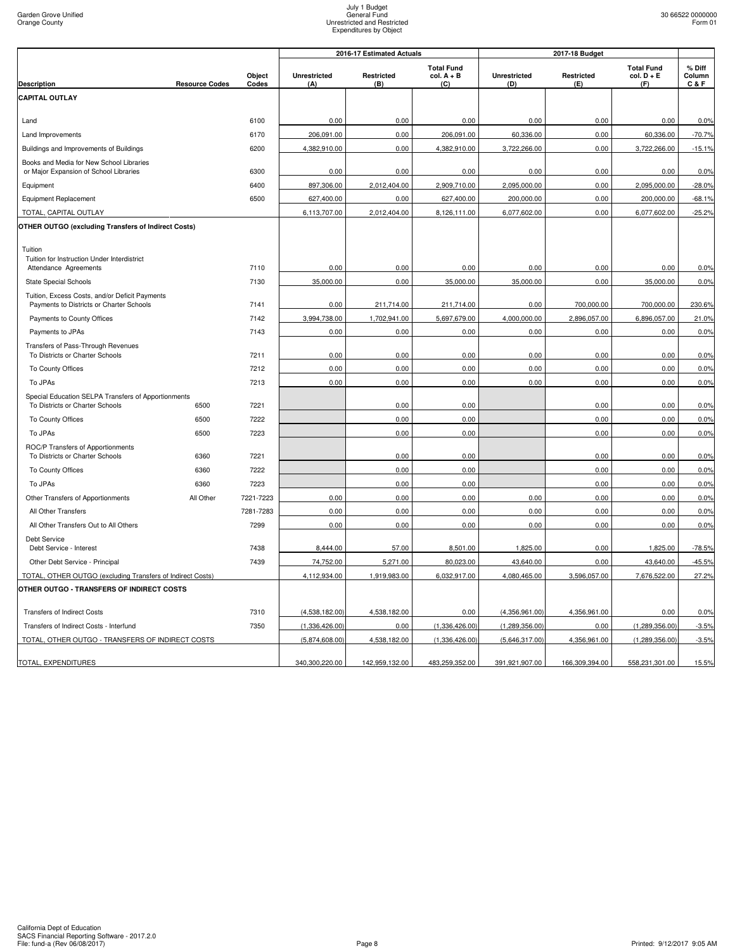|                                                                                            |                       |                 |                            | 2016-17 Estimated Actuals |                                          |                            | 2017-18 Budget    |                                        |                           |
|--------------------------------------------------------------------------------------------|-----------------------|-----------------|----------------------------|---------------------------|------------------------------------------|----------------------------|-------------------|----------------------------------------|---------------------------|
| <b>Description</b>                                                                         | <b>Resource Codes</b> | Object<br>Codes | <b>Unrestricted</b><br>(A) | Restricted<br>(B)         | <b>Total Fund</b><br>$col. A + B$<br>(C) | <b>Unrestricted</b><br>(D) | Restricted<br>(E) | <b>Total Fund</b><br>col. D + E<br>(F) | % Diff<br>Column<br>C & F |
| <b>CAPITAL OUTLAY</b>                                                                      |                       |                 |                            |                           |                                          |                            |                   |                                        |                           |
|                                                                                            |                       |                 |                            |                           |                                          |                            |                   |                                        |                           |
| Land                                                                                       |                       | 6100            | 0.00                       | 0.00                      | 0.00                                     | 0.00                       | 0.00              | 0.00                                   | 0.0%                      |
| Land Improvements                                                                          |                       | 6170            | 206.091.00                 | 0.00                      | 206,091.00                               | 60.336.00                  | 0.00              | 60,336.00                              | $-70.7%$                  |
| Buildings and Improvements of Buildings                                                    |                       | 6200            | 4,382,910.00               | 0.00                      | 4,382,910.00                             | 3,722,266.00               | 0.00              | 3,722,266.00                           | $-15.1%$                  |
| Books and Media for New School Libraries<br>or Major Expansion of School Libraries         |                       | 6300            | 0.00                       | 0.00                      | 0.00                                     | 0.00                       | 0.00              | 0.00                                   | 0.0%                      |
| Equipment                                                                                  |                       | 6400            | 897,306.00                 | 2,012,404.00              | 2,909,710.00                             | 2,095,000.00               | 0.00              | 2,095,000.00                           | $-28.0%$                  |
| Equipment Replacement                                                                      |                       | 6500            | 627,400.00                 | 0.00                      | 627,400.00                               | 200,000.00                 | 0.00              | 200,000.00                             | $-68.1%$                  |
| TOTAL, CAPITAL OUTLAY                                                                      |                       |                 | 6,113,707.00               | 2,012,404.00              | 8,126,111.00                             | 6,077,602.00               | 0.00              | 6,077,602.00                           | $-25.2%$                  |
| OTHER OUTGO (excluding Transfers of Indirect Costs)                                        |                       |                 |                            |                           |                                          |                            |                   |                                        |                           |
| Tuition                                                                                    |                       |                 |                            |                           |                                          |                            |                   |                                        |                           |
| Tuition for Instruction Under Interdistrict                                                |                       |                 |                            |                           |                                          |                            |                   |                                        |                           |
| Attendance Agreements                                                                      |                       | 7110            | 0.00                       | 0.00                      | 0.00                                     | 0.00                       | 0.00              | 0.00                                   | 0.0%                      |
| <b>State Special Schools</b>                                                               |                       | 7130            | 35,000.00                  | 0.00                      | 35,000.00                                | 35,000.00                  | 0.00              | 35,000.00                              | 0.0%                      |
| Tuition, Excess Costs, and/or Deficit Payments<br>Payments to Districts or Charter Schools |                       | 7141            | 0.00                       | 211,714.00                | 211,714.00                               | 0.00                       | 700,000.00        | 700,000.00                             | 230.6%                    |
| Payments to County Offices                                                                 |                       | 7142            | 3,994,738.00               | 1,702,941.00              | 5,697,679.00                             | 4,000,000.00               | 2,896,057.00      | 6,896,057.00                           | 21.0%                     |
| Payments to JPAs                                                                           |                       | 7143            | 0.00                       | 0.00                      | 0.00                                     | 0.00                       | 0.00              | 0.00                                   | 0.0%                      |
| Transfers of Pass-Through Revenues<br>To Districts or Charter Schools                      |                       | 7211            | 0.00                       | 0.00                      | 0.00                                     | 0.00                       | 0.00              | 0.00                                   | 0.0%                      |
| To County Offices                                                                          |                       | 7212            | 0.00                       | 0.00                      | 0.00                                     | 0.00                       | 0.00              | 0.00                                   | 0.0%                      |
| To JPAs                                                                                    |                       | 7213            | 0.00                       | 0.00                      | 0.00                                     | 0.00                       | 0.00              | 0.00                                   | 0.0%                      |
| Special Education SELPA Transfers of Apportionments                                        |                       |                 |                            |                           |                                          |                            |                   |                                        |                           |
| To Districts or Charter Schools                                                            | 6500                  | 7221            |                            | 0.00                      | 0.00                                     |                            | 0.00              | 0.00                                   | 0.0%                      |
| To County Offices                                                                          | 6500                  | 7222            |                            | 0.00                      | 0.00                                     |                            | 0.00              | 0.00                                   | 0.0%                      |
| To JPAs                                                                                    | 6500                  | 7223            |                            | 0.00                      | 0.00                                     |                            | 0.00              | 0.00                                   | 0.0%                      |
| ROC/P Transfers of Apportionments<br>To Districts or Charter Schools                       | 6360                  | 7221            |                            | 0.00                      | 0.00                                     |                            | 0.00              | 0.00                                   | 0.0%                      |
| To County Offices                                                                          | 6360                  | 7222            |                            | 0.00                      | 0.00                                     |                            | 0.00              | 0.00                                   | 0.0%                      |
| To JPAs                                                                                    | 6360                  | 7223            |                            | 0.00                      | 0.00                                     |                            | 0.00              | 0.00                                   | 0.0%                      |
| Other Transfers of Apportionments                                                          | All Other             | 7221-7223       | 0.00                       | 0.00                      | 0.00                                     | 0.00                       | 0.00              | 0.00                                   | 0.0%                      |
| All Other Transfers                                                                        |                       | 7281-7283       | 0.00                       | 0.00                      | 0.00                                     | 0.00                       | 0.00              | 0.00                                   | 0.0%                      |
| All Other Transfers Out to All Others                                                      |                       | 7299            | 0.00                       | 0.00                      | 0.00                                     | 0.00                       | 0.00              | 0.00                                   | 0.0%                      |
| Debt Service<br>Debt Service - Interest                                                    |                       | 7438            | 8,444.00                   | 57.00                     | 8,501.00                                 | 1,825.00                   | 0.00              | 1,825.00                               | $-78.5%$                  |
| Other Debt Service - Principal                                                             |                       | 7439            | 74,752.00                  | 5,271.00                  | 80,023.00                                | 43,640.00                  | 0.00              | 43,640.00                              | $-45.5%$                  |
| TOTAL, OTHER OUTGO (excluding Transfers of Indirect Costs)                                 |                       |                 | 4,112,934.00               | 1,919,983.00              | 6,032,917.00                             | 4,080,465.00               | 3,596,057.00      | 7,676,522.00                           | 27.2%                     |
| OTHER OUTGO - TRANSFERS OF INDIRECT COSTS                                                  |                       |                 |                            |                           |                                          |                            |                   |                                        |                           |
| <b>Transfers of Indirect Costs</b>                                                         |                       | 7310            | (4,538,182.00)             | 4,538,182.00              | 0.00                                     | (4,356,961.00)             | 4,356,961.00      | 0.00                                   | 0.0%                      |
| Transfers of Indirect Costs - Interfund                                                    |                       | 7350            | (1,336,426.00)             | 0.00                      | (1,336,426.00)                           | (1,289,356.00)             | 0.00              | (1,289,356.00)                         | $-3.5%$                   |
| TOTAL, OTHER OUTGO - TRANSFERS OF INDIRECT COSTS                                           |                       |                 | (5,874,608.00)             | 4,538,182.00              | (1,336,426.00)                           | (5,646,317.00)             | 4,356,961.00      | (1,289,356.00)                         | $-3.5%$                   |
|                                                                                            |                       |                 |                            |                           |                                          |                            |                   |                                        |                           |
| TOTAL, EXPENDITURES                                                                        |                       |                 | 340,300,220.00             | 142,959,132.00            | 483,259,352.00                           | 391,921,907.00             | 166,309,394.00    | 558,231,301.00                         | 15.5%                     |